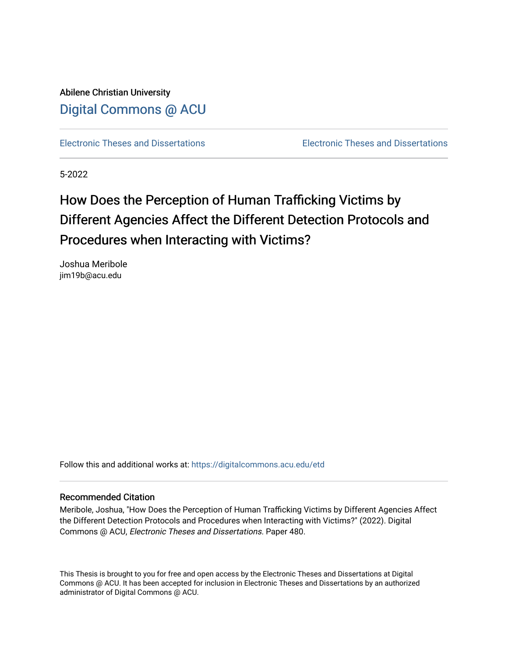Abilene Christian University [Digital Commons @ ACU](https://digitalcommons.acu.edu/)

[Electronic Theses and Dissertations](https://digitalcommons.acu.edu/etd) [Electronic Theses and Dissertations](https://digitalcommons.acu.edu/graduate_works) 

5-2022

# How Does the Perception of Human Trafficking Victims by Different Agencies Affect the Different Detection Protocols and Procedures when Interacting with Victims?

Joshua Meribole jim19b@acu.edu

Follow this and additional works at: [https://digitalcommons.acu.edu/etd](https://digitalcommons.acu.edu/etd?utm_source=digitalcommons.acu.edu%2Fetd%2F480&utm_medium=PDF&utm_campaign=PDFCoverPages) 

#### Recommended Citation

Meribole, Joshua, "How Does the Perception of Human Trafficking Victims by Different Agencies Affect the Different Detection Protocols and Procedures when Interacting with Victims?" (2022). Digital Commons @ ACU, Electronic Theses and Dissertations. Paper 480.

This Thesis is brought to you for free and open access by the Electronic Theses and Dissertations at Digital Commons @ ACU. It has been accepted for inclusion in Electronic Theses and Dissertations by an authorized administrator of Digital Commons @ ACU.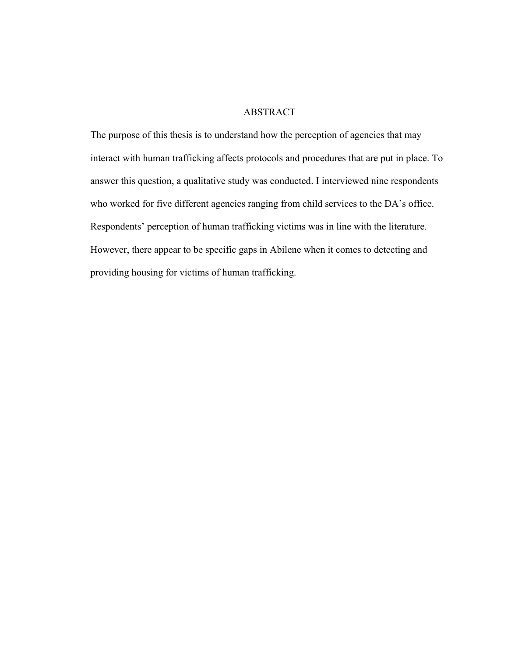# ABSTRACT

The purpose of this thesis is to understand how the perception of agencies that may interact with human trafficking affects protocols and procedures that are put in place. To answer this question, a qualitative study was conducted. I interviewed nine respondents who worked for five different agencies ranging from child services to the DA's office. Respondents' perception of human trafficking victims was in line with the literature. However, there appear to be specific gaps in Abilene when it comes to detecting and providing housing for victims of human trafficking.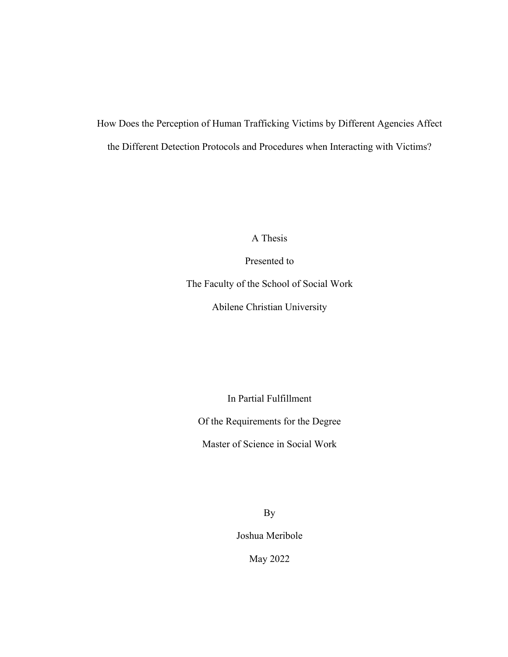How Does the Perception of Human Trafficking Victims by Different Agencies Affect the Different Detection Protocols and Procedures when Interacting with Victims?

A Thesis

Presented to

The Faculty of the School of Social Work

Abilene Christian University

In Partial Fulfillment

Of the Requirements for the Degree

Master of Science in Social Work

By

Joshua Meribole

May 2022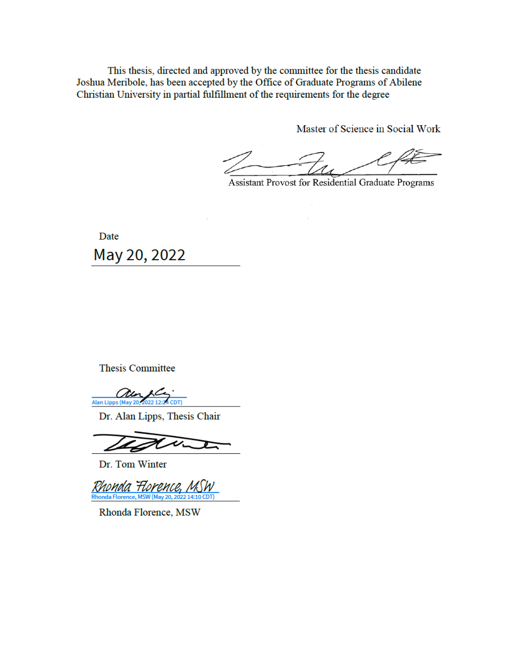This thesis, directed and approved by the committee for the thesis candidate Joshua Meribole, has been accepted by the Office of Graduate Programs of Abilene Christian University in partial fulfillment of the requirements for the degree

Master of Science in Social Work

Assistant Provost for Residential Graduate Programs

Date May 20, 2022

**Thesis Committee** 

Alan Lipps (May 20, 2022 12:24 CDT)

Dr. Alan Lipps, Thesis Chair

Dr. Tom Winter

Rhonda Florence. Rhonda Florence, MSW (M

Rhonda Florence, MSW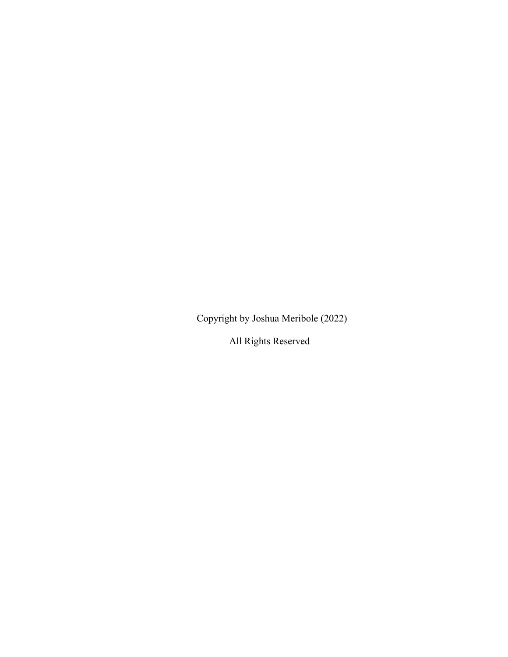Copyright by Joshua Meribole (2022)

All Rights Reserved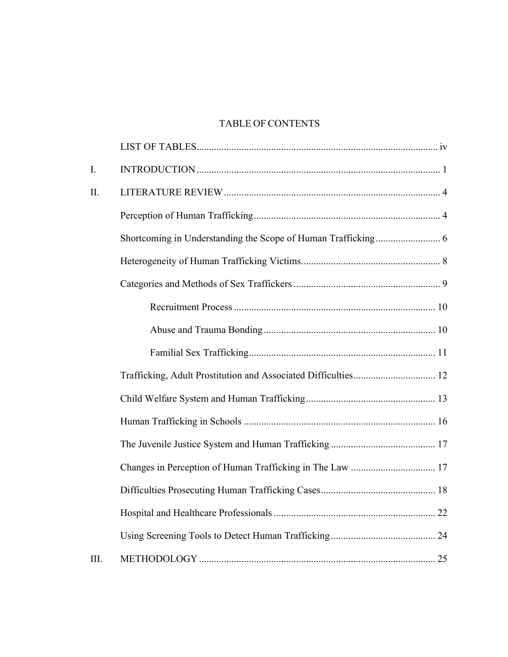# TABLE OF CONTENTS

| I.   |  |
|------|--|
| II.  |  |
|      |  |
|      |  |
|      |  |
|      |  |
|      |  |
|      |  |
|      |  |
|      |  |
|      |  |
|      |  |
|      |  |
|      |  |
|      |  |
|      |  |
|      |  |
| III. |  |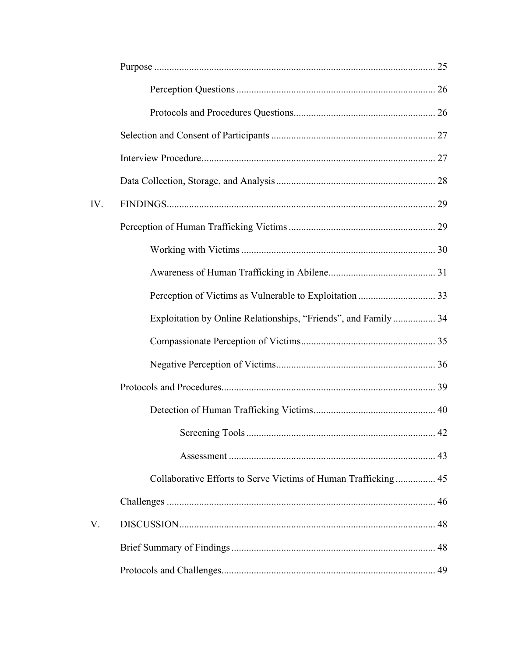| IV. |                                                                 |  |
|-----|-----------------------------------------------------------------|--|
|     |                                                                 |  |
|     |                                                                 |  |
|     |                                                                 |  |
|     |                                                                 |  |
|     | Exploitation by Online Relationships, "Friends", and Family  34 |  |
|     |                                                                 |  |
|     |                                                                 |  |
|     |                                                                 |  |
|     |                                                                 |  |
|     |                                                                 |  |
|     |                                                                 |  |
|     |                                                                 |  |
|     |                                                                 |  |
| V.  |                                                                 |  |
|     |                                                                 |  |
|     |                                                                 |  |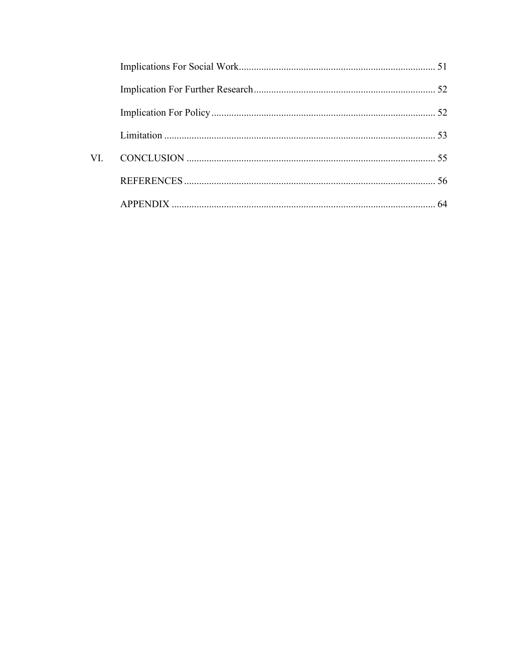| VL. |  |
|-----|--|
|     |  |
|     |  |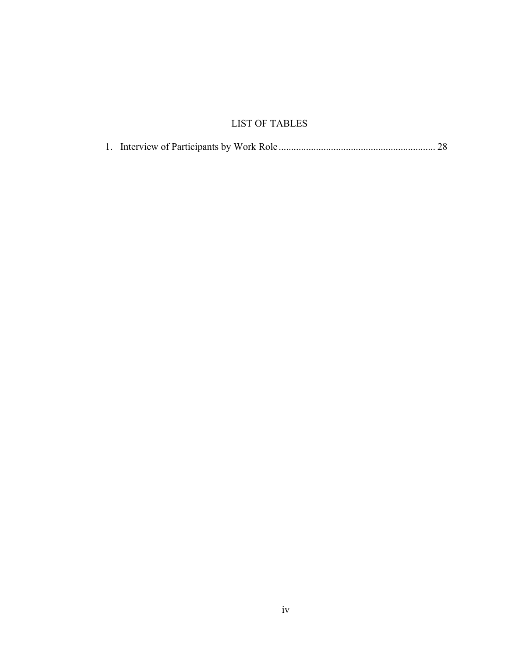# LIST OF TABLES

|--|--|--|--|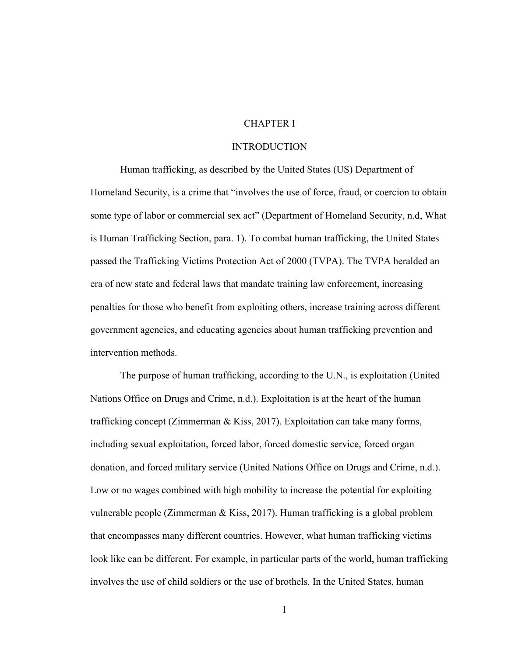# CHAPTER I

# **INTRODUCTION**

Human trafficking, as described by the United States (US) Department of Homeland Security, is a crime that "involves the use of force, fraud, or coercion to obtain some type of labor or commercial sex act" (Department of Homeland Security, n.d, What is Human Trafficking Section, para. 1). To combat human trafficking, the United States passed the Trafficking Victims Protection Act of 2000 (TVPA). The TVPA heralded an era of new state and federal laws that mandate training law enforcement, increasing penalties for those who benefit from exploiting others, increase training across different government agencies, and educating agencies about human trafficking prevention and intervention methods.

The purpose of human trafficking, according to the U.N., is exploitation (United Nations Office on Drugs and Crime, n.d.). Exploitation is at the heart of the human trafficking concept (Zimmerman & Kiss, 2017). Exploitation can take many forms, including sexual exploitation, forced labor, forced domestic service, forced organ donation, and forced military service (United Nations Office on Drugs and Crime, n.d.). Low or no wages combined with high mobility to increase the potential for exploiting vulnerable people (Zimmerman & Kiss, 2017). Human trafficking is a global problem that encompasses many different countries. However, what human trafficking victims look like can be different. For example, in particular parts of the world, human trafficking involves the use of child soldiers or the use of brothels. In the United States, human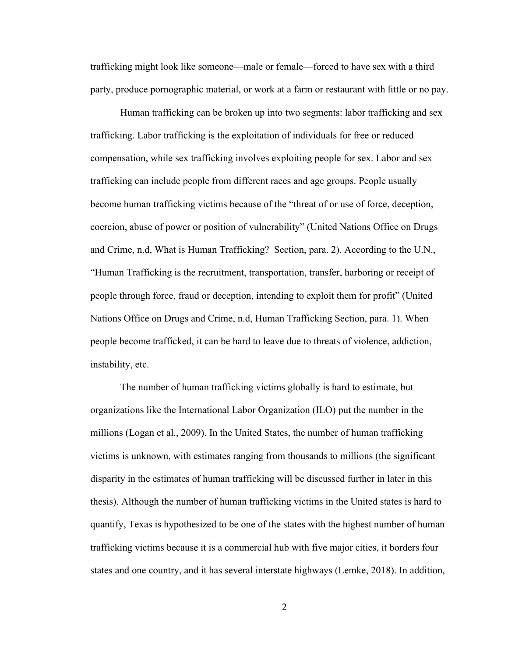trafficking might look like someone—male or female—forced to have sex with a third party, produce pornographic material, or work at a farm or restaurant with little or no pay.

Human trafficking can be broken up into two segments: labor trafficking and sex trafficking. Labor trafficking is the exploitation of individuals for free or reduced compensation, while sex trafficking involves exploiting people for sex. Labor and sex trafficking can include people from different races and age groups. People usually become human trafficking victims because of the "threat of or use of force, deception, coercion, abuse of power or position of vulnerability" (United Nations Office on Drugs and Crime, n.d, What is Human Trafficking? Section, para. 2). According to the U.N., "Human Trafficking is the recruitment, transportation, transfer, harboring or receipt of people through force, fraud or deception, intending to exploit them for profit" (United Nations Office on Drugs and Crime, n.d, Human Trafficking Section, para. 1). When people become trafficked, it can be hard to leave due to threats of violence, addiction, instability, etc.

The number of human trafficking victims globally is hard to estimate, but organizations like the International Labor Organization (ILO) put the number in the millions (Logan et al., 2009). In the United States, the number of human trafficking victims is unknown, with estimates ranging from thousands to millions (the significant disparity in the estimates of human trafficking will be discussed further in later in this thesis). Although the number of human trafficking victims in the United states is hard to quantify, Texas is hypothesized to be one of the states with the highest number of human trafficking victims because it is a commercial hub with five major cities, it borders four states and one country, and it has several interstate highways (Lemke, 2018). In addition,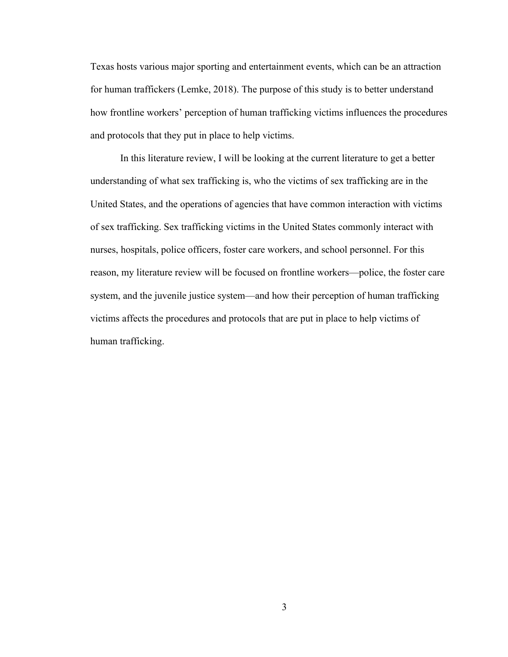Texas hosts various major sporting and entertainment events, which can be an attraction for human traffickers (Lemke, 2018). The purpose of this study is to better understand how frontline workers' perception of human trafficking victims influences the procedures and protocols that they put in place to help victims.

In this literature review, I will be looking at the current literature to get a better understanding of what sex trafficking is, who the victims of sex trafficking are in the United States, and the operations of agencies that have common interaction with victims of sex trafficking. Sex trafficking victims in the United States commonly interact with nurses, hospitals, police officers, foster care workers, and school personnel. For this reason, my literature review will be focused on frontline workers—police, the foster care system, and the juvenile justice system—and how their perception of human trafficking victims affects the procedures and protocols that are put in place to help victims of human trafficking.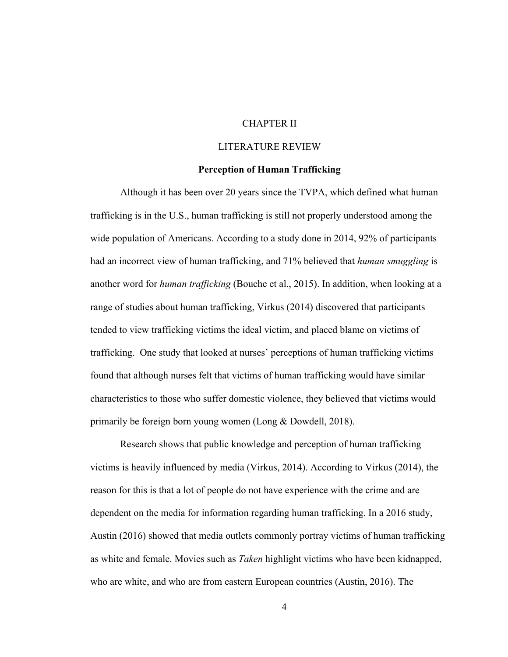# CHAPTER II

# LITERATURE REVIEW

#### **Perception of Human Trafficking**

Although it has been over 20 years since the TVPA, which defined what human trafficking is in the U.S., human trafficking is still not properly understood among the wide population of Americans. According to a study done in 2014, 92% of participants had an incorrect view of human trafficking, and 71% believed that *human smuggling* is another word for *human trafficking* (Bouche et al., 2015). In addition, when looking at a range of studies about human trafficking, Virkus (2014) discovered that participants tended to view trafficking victims the ideal victim, and placed blame on victims of trafficking. One study that looked at nurses' perceptions of human trafficking victims found that although nurses felt that victims of human trafficking would have similar characteristics to those who suffer domestic violence, they believed that victims would primarily be foreign born young women (Long & Dowdell, 2018).

Research shows that public knowledge and perception of human trafficking victims is heavily influenced by media (Virkus, 2014). According to Virkus (2014), the reason for this is that a lot of people do not have experience with the crime and are dependent on the media for information regarding human trafficking. In a 2016 study, Austin (2016) showed that media outlets commonly portray victims of human trafficking as white and female. Movies such as *Taken* highlight victims who have been kidnapped, who are white, and who are from eastern European countries (Austin, 2016). The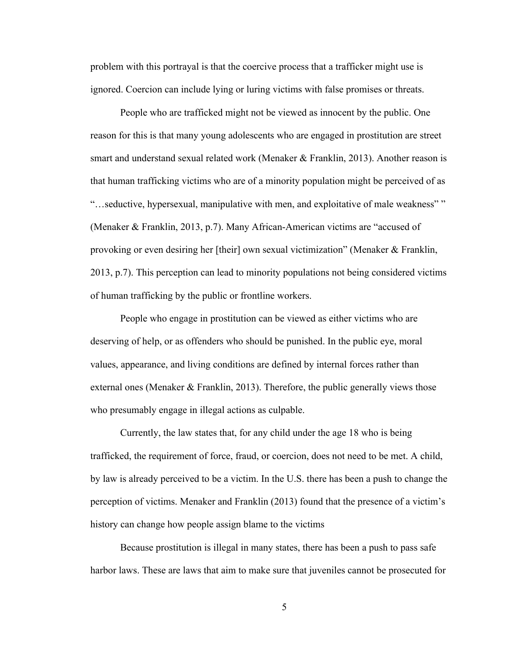problem with this portrayal is that the coercive process that a trafficker might use is ignored. Coercion can include lying or luring victims with false promises or threats.

People who are trafficked might not be viewed as innocent by the public. One reason for this is that many young adolescents who are engaged in prostitution are street smart and understand sexual related work (Menaker & Franklin, 2013). Another reason is that human trafficking victims who are of a minority population might be perceived of as "…seductive, hypersexual, manipulative with men, and exploitative of male weakness" " (Menaker & Franklin, 2013, p.7). Many African-American victims are "accused of provoking or even desiring her [their] own sexual victimization" (Menaker & Franklin, 2013, p.7). This perception can lead to minority populations not being considered victims of human trafficking by the public or frontline workers.

People who engage in prostitution can be viewed as either victims who are deserving of help, or as offenders who should be punished. In the public eye, moral values, appearance, and living conditions are defined by internal forces rather than external ones (Menaker & Franklin, 2013). Therefore, the public generally views those who presumably engage in illegal actions as culpable.

Currently, the law states that, for any child under the age 18 who is being trafficked, the requirement of force, fraud, or coercion, does not need to be met. A child, by law is already perceived to be a victim. In the U.S. there has been a push to change the perception of victims. Menaker and Franklin (2013) found that the presence of a victim's history can change how people assign blame to the victims

Because prostitution is illegal in many states, there has been a push to pass safe harbor laws. These are laws that aim to make sure that juveniles cannot be prosecuted for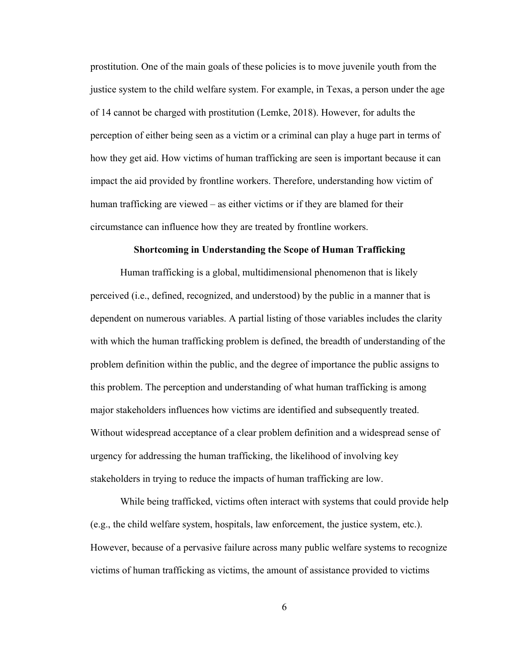prostitution. One of the main goals of these policies is to move juvenile youth from the justice system to the child welfare system. For example, in Texas, a person under the age of 14 cannot be charged with prostitution (Lemke, 2018). However, for adults the perception of either being seen as a victim or a criminal can play a huge part in terms of how they get aid. How victims of human trafficking are seen is important because it can impact the aid provided by frontline workers. Therefore, understanding how victim of human trafficking are viewed – as either victims or if they are blamed for their circumstance can influence how they are treated by frontline workers.

#### **Shortcoming in Understanding the Scope of Human Trafficking**

Human trafficking is a global, multidimensional phenomenon that is likely perceived (i.e., defined, recognized, and understood) by the public in a manner that is dependent on numerous variables. A partial listing of those variables includes the clarity with which the human trafficking problem is defined, the breadth of understanding of the problem definition within the public, and the degree of importance the public assigns to this problem. The perception and understanding of what human trafficking is among major stakeholders influences how victims are identified and subsequently treated. Without widespread acceptance of a clear problem definition and a widespread sense of urgency for addressing the human trafficking, the likelihood of involving key stakeholders in trying to reduce the impacts of human trafficking are low.

While being trafficked, victims often interact with systems that could provide help (e.g., the child welfare system, hospitals, law enforcement, the justice system, etc.). However, because of a pervasive failure across many public welfare systems to recognize victims of human trafficking as victims, the amount of assistance provided to victims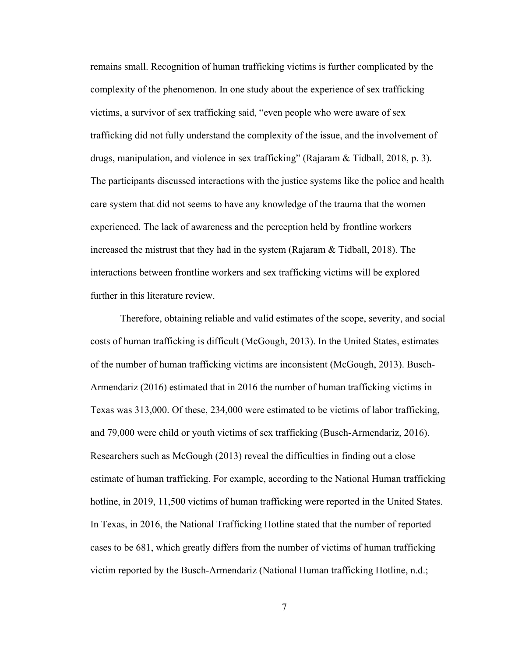remains small. Recognition of human trafficking victims is further complicated by the complexity of the phenomenon. In one study about the experience of sex trafficking victims, a survivor of sex trafficking said, "even people who were aware of sex trafficking did not fully understand the complexity of the issue, and the involvement of drugs, manipulation, and violence in sex trafficking" (Rajaram & Tidball, 2018, p. 3). The participants discussed interactions with the justice systems like the police and health care system that did not seems to have any knowledge of the trauma that the women experienced. The lack of awareness and the perception held by frontline workers increased the mistrust that they had in the system (Rajaram & Tidball, 2018). The interactions between frontline workers and sex trafficking victims will be explored further in this literature review.

Therefore, obtaining reliable and valid estimates of the scope, severity, and social costs of human trafficking is difficult (McGough, 2013). In the United States, estimates of the number of human trafficking victims are inconsistent (McGough, 2013). Busch-Armendariz (2016) estimated that in 2016 the number of human trafficking victims in Texas was 313,000. Of these, 234,000 were estimated to be victims of labor trafficking, and 79,000 were child or youth victims of sex trafficking (Busch-Armendariz, 2016). Researchers such as McGough (2013) reveal the difficulties in finding out a close estimate of human trafficking. For example, according to the National Human trafficking hotline, in 2019, 11,500 victims of human trafficking were reported in the United States. In Texas, in 2016, the National Trafficking Hotline stated that the number of reported cases to be 681, which greatly differs from the number of victims of human trafficking victim reported by the Busch-Armendariz (National Human trafficking Hotline, n.d.;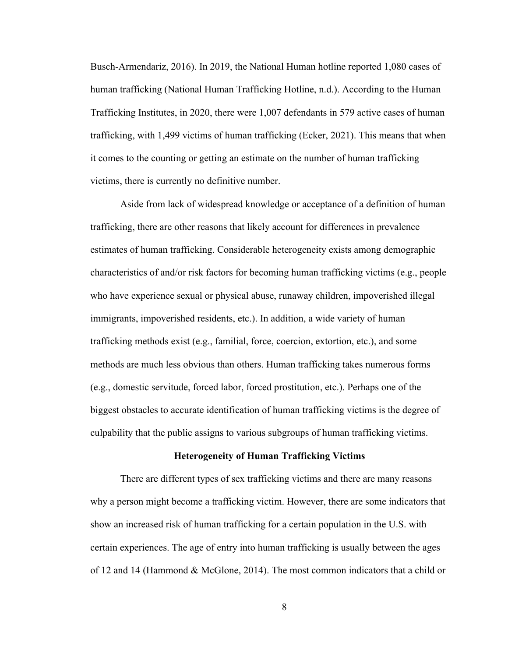Busch-Armendariz, 2016). In 2019, the National Human hotline reported 1,080 cases of human trafficking (National Human Trafficking Hotline, n.d.). According to the Human Trafficking Institutes, in 2020, there were 1,007 defendants in 579 active cases of human trafficking, with 1,499 victims of human trafficking (Ecker, 2021). This means that when it comes to the counting or getting an estimate on the number of human trafficking victims, there is currently no definitive number.

Aside from lack of widespread knowledge or acceptance of a definition of human trafficking, there are other reasons that likely account for differences in prevalence estimates of human trafficking. Considerable heterogeneity exists among demographic characteristics of and/or risk factors for becoming human trafficking victims (e.g., people who have experience sexual or physical abuse, runaway children, impoverished illegal immigrants, impoverished residents, etc.). In addition, a wide variety of human trafficking methods exist (e.g., familial, force, coercion, extortion, etc.), and some methods are much less obvious than others. Human trafficking takes numerous forms (e.g., domestic servitude, forced labor, forced prostitution, etc.). Perhaps one of the biggest obstacles to accurate identification of human trafficking victims is the degree of culpability that the public assigns to various subgroups of human trafficking victims.

## **Heterogeneity of Human Trafficking Victims**

There are different types of sex trafficking victims and there are many reasons why a person might become a trafficking victim. However, there are some indicators that show an increased risk of human trafficking for a certain population in the U.S. with certain experiences. The age of entry into human trafficking is usually between the ages of 12 and 14 (Hammond & McGlone, 2014). The most common indicators that a child or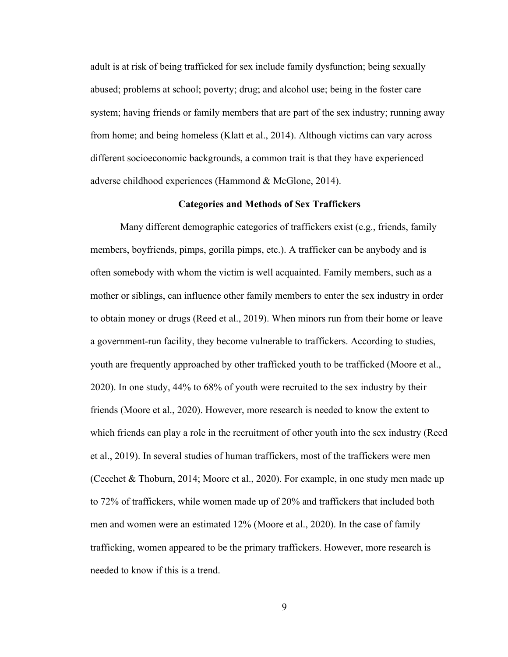adult is at risk of being trafficked for sex include family dysfunction; being sexually abused; problems at school; poverty; drug; and alcohol use; being in the foster care system; having friends or family members that are part of the sex industry; running away from home; and being homeless (Klatt et al., 2014). Although victims can vary across different socioeconomic backgrounds, a common trait is that they have experienced adverse childhood experiences (Hammond & McGlone, 2014).

#### **Categories and Methods of Sex Traffickers**

Many different demographic categories of traffickers exist (e.g., friends, family members, boyfriends, pimps, gorilla pimps, etc.). A trafficker can be anybody and is often somebody with whom the victim is well acquainted. Family members, such as a mother or siblings, can influence other family members to enter the sex industry in order to obtain money or drugs (Reed et al., 2019). When minors run from their home or leave a government-run facility, they become vulnerable to traffickers. According to studies, youth are frequently approached by other trafficked youth to be trafficked (Moore et al., 2020). In one study, 44% to 68% of youth were recruited to the sex industry by their friends (Moore et al., 2020). However, more research is needed to know the extent to which friends can play a role in the recruitment of other youth into the sex industry (Reed et al., 2019). In several studies of human traffickers, most of the traffickers were men (Cecchet & Thoburn, 2014; Moore et al., 2020). For example, in one study men made up to 72% of traffickers, while women made up of 20% and traffickers that included both men and women were an estimated 12% (Moore et al., 2020). In the case of family trafficking, women appeared to be the primary traffickers. However, more research is needed to know if this is a trend.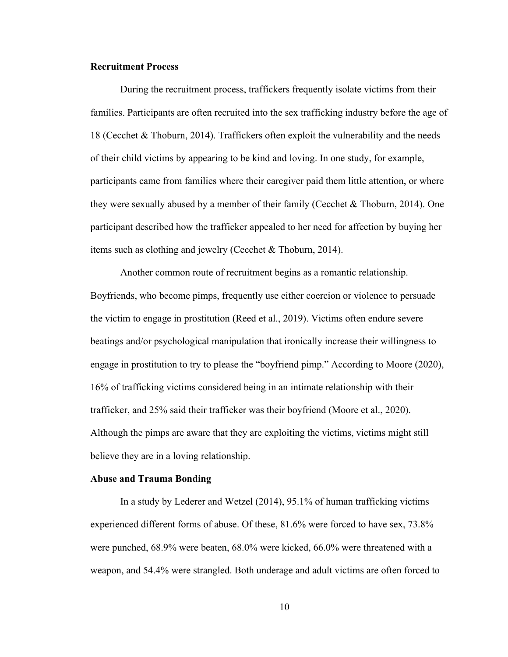## **Recruitment Process**

During the recruitment process, traffickers frequently isolate victims from their families. Participants are often recruited into the sex trafficking industry before the age of 18 (Cecchet & Thoburn, 2014). Traffickers often exploit the vulnerability and the needs of their child victims by appearing to be kind and loving. In one study, for example, participants came from families where their caregiver paid them little attention, or where they were sexually abused by a member of their family (Cecchet & Thoburn, 2014). One participant described how the trafficker appealed to her need for affection by buying her items such as clothing and jewelry (Cecchet & Thoburn, 2014).

Another common route of recruitment begins as a romantic relationship. Boyfriends, who become pimps, frequently use either coercion or violence to persuade the victim to engage in prostitution (Reed et al., 2019). Victims often endure severe beatings and/or psychological manipulation that ironically increase their willingness to engage in prostitution to try to please the "boyfriend pimp." According to Moore (2020), 16% of trafficking victims considered being in an intimate relationship with their trafficker, and 25% said their trafficker was their boyfriend (Moore et al., 2020). Although the pimps are aware that they are exploiting the victims, victims might still believe they are in a loving relationship.

# **Abuse and Trauma Bonding**

In a study by Lederer and Wetzel (2014), 95.1% of human trafficking victims experienced different forms of abuse. Of these, 81.6% were forced to have sex, 73.8% were punched, 68.9% were beaten, 68.0% were kicked, 66.0% were threatened with a weapon, and 54.4% were strangled. Both underage and adult victims are often forced to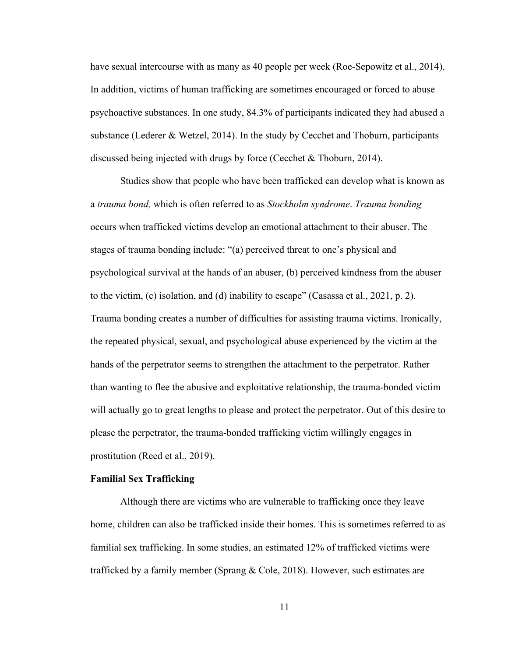have sexual intercourse with as many as 40 people per week (Roe-Sepowitz et al., 2014). In addition, victims of human trafficking are sometimes encouraged or forced to abuse psychoactive substances. In one study, 84.3% of participants indicated they had abused a substance (Lederer & Wetzel, 2014). In the study by Cecchet and Thoburn, participants discussed being injected with drugs by force (Cecchet & Thoburn, 2014).

Studies show that people who have been trafficked can develop what is known as a *trauma bond,* which is often referred to as *Stockholm syndrome*. *Trauma bonding* occurs when trafficked victims develop an emotional attachment to their abuser. The stages of trauma bonding include: "(a) perceived threat to one's physical and psychological survival at the hands of an abuser, (b) perceived kindness from the abuser to the victim, (c) isolation, and (d) inability to escape" (Casassa et al., 2021, p. 2). Trauma bonding creates a number of difficulties for assisting trauma victims. Ironically, the repeated physical, sexual, and psychological abuse experienced by the victim at the hands of the perpetrator seems to strengthen the attachment to the perpetrator. Rather than wanting to flee the abusive and exploitative relationship, the trauma-bonded victim will actually go to great lengths to please and protect the perpetrator. Out of this desire to please the perpetrator, the trauma-bonded trafficking victim willingly engages in prostitution (Reed et al., 2019).

## **Familial Sex Trafficking**

Although there are victims who are vulnerable to trafficking once they leave home, children can also be trafficked inside their homes. This is sometimes referred to as familial sex trafficking. In some studies, an estimated 12% of trafficked victims were trafficked by a family member (Sprang & Cole, 2018). However, such estimates are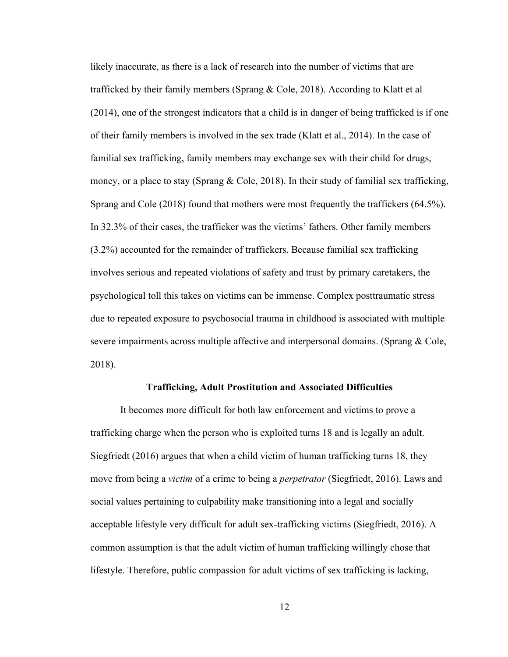likely inaccurate, as there is a lack of research into the number of victims that are trafficked by their family members (Sprang & Cole, 2018). According to Klatt et al (2014), one of the strongest indicators that a child is in danger of being trafficked is if one of their family members is involved in the sex trade (Klatt et al., 2014). In the case of familial sex trafficking, family members may exchange sex with their child for drugs, money, or a place to stay (Sprang & Cole, 2018). In their study of familial sex trafficking, Sprang and Cole (2018) found that mothers were most frequently the traffickers (64.5%). In 32.3% of their cases, the trafficker was the victims' fathers. Other family members (3.2%) accounted for the remainder of traffickers. Because familial sex trafficking involves serious and repeated violations of safety and trust by primary caretakers, the psychological toll this takes on victims can be immense. Complex posttraumatic stress due to repeated exposure to psychosocial trauma in childhood is associated with multiple severe impairments across multiple affective and interpersonal domains. (Sprang & Cole, 2018).

#### **Trafficking, Adult Prostitution and Associated Difficulties**

It becomes more difficult for both law enforcement and victims to prove a trafficking charge when the person who is exploited turns 18 and is legally an adult. Siegfriedt (2016) argues that when a child victim of human trafficking turns 18, they move from being a *victim* of a crime to being a *perpetrator* (Siegfriedt, 2016). Laws and social values pertaining to culpability make transitioning into a legal and socially acceptable lifestyle very difficult for adult sex-trafficking victims (Siegfriedt, 2016). A common assumption is that the adult victim of human trafficking willingly chose that lifestyle. Therefore, public compassion for adult victims of sex trafficking is lacking,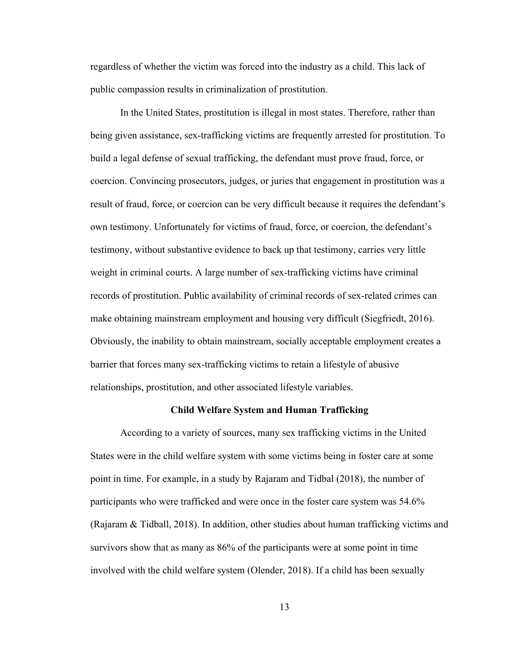regardless of whether the victim was forced into the industry as a child. This lack of public compassion results in criminalization of prostitution.

In the United States, prostitution is illegal in most states. Therefore, rather than being given assistance, sex-trafficking victims are frequently arrested for prostitution. To build a legal defense of sexual trafficking, the defendant must prove fraud, force, or coercion. Convincing prosecutors, judges, or juries that engagement in prostitution was a result of fraud, force, or coercion can be very difficult because it requires the defendant's own testimony. Unfortunately for victims of fraud, force, or coercion, the defendant's testimony, without substantive evidence to back up that testimony, carries very little weight in criminal courts. A large number of sex-trafficking victims have criminal records of prostitution. Public availability of criminal records of sex-related crimes can make obtaining mainstream employment and housing very difficult (Siegfriedt, 2016). Obviously, the inability to obtain mainstream, socially acceptable employment creates a barrier that forces many sex-trafficking victims to retain a lifestyle of abusive relationships, prostitution, and other associated lifestyle variables.

#### **Child Welfare System and Human Trafficking**

According to a variety of sources, many sex trafficking victims in the United States were in the child welfare system with some victims being in foster care at some point in time. For example, in a study by Rajaram and Tidbal (2018), the number of participants who were trafficked and were once in the foster care system was 54.6% (Rajaram & Tidball, 2018). In addition, other studies about human trafficking victims and survivors show that as many as 86% of the participants were at some point in time involved with the child welfare system (Olender, 2018). If a child has been sexually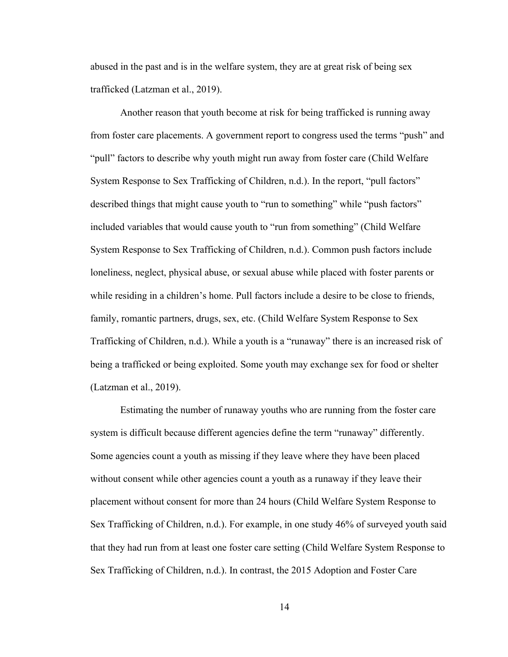abused in the past and is in the welfare system, they are at great risk of being sex trafficked (Latzman et al., 2019).

Another reason that youth become at risk for being trafficked is running away from foster care placements. A government report to congress used the terms "push" and "pull" factors to describe why youth might run away from foster care (Child Welfare System Response to Sex Trafficking of Children, n.d.). In the report, "pull factors" described things that might cause youth to "run to something" while "push factors" included variables that would cause youth to "run from something" (Child Welfare System Response to Sex Trafficking of Children, n.d.). Common push factors include loneliness, neglect, physical abuse, or sexual abuse while placed with foster parents or while residing in a children's home. Pull factors include a desire to be close to friends, family, romantic partners, drugs, sex, etc. (Child Welfare System Response to Sex Trafficking of Children, n.d.). While a youth is a "runaway" there is an increased risk of being a trafficked or being exploited. Some youth may exchange sex for food or shelter (Latzman et al., 2019).

Estimating the number of runaway youths who are running from the foster care system is difficult because different agencies define the term "runaway" differently. Some agencies count a youth as missing if they leave where they have been placed without consent while other agencies count a youth as a runaway if they leave their placement without consent for more than 24 hours (Child Welfare System Response to Sex Trafficking of Children, n.d.). For example, in one study 46% of surveyed youth said that they had run from at least one foster care setting (Child Welfare System Response to Sex Trafficking of Children, n.d.). In contrast, the 2015 Adoption and Foster Care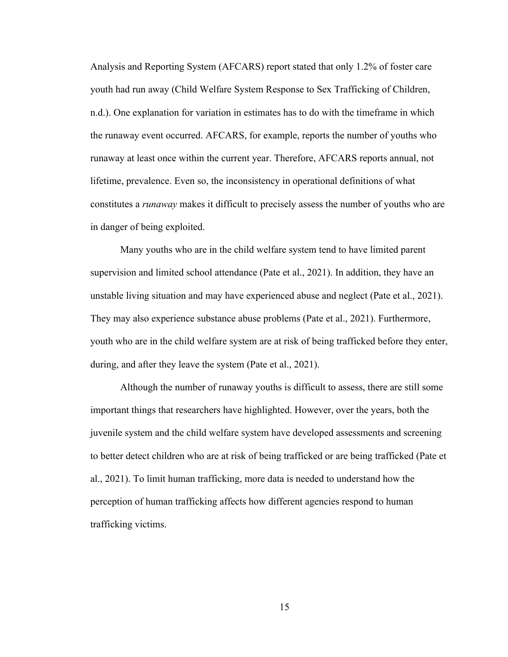Analysis and Reporting System (AFCARS) report stated that only 1.2% of foster care youth had run away (Child Welfare System Response to Sex Trafficking of Children, n.d.). One explanation for variation in estimates has to do with the timeframe in which the runaway event occurred. AFCARS, for example, reports the number of youths who runaway at least once within the current year. Therefore, AFCARS reports annual, not lifetime, prevalence. Even so, the inconsistency in operational definitions of what constitutes a *runaway* makes it difficult to precisely assess the number of youths who are in danger of being exploited.

Many youths who are in the child welfare system tend to have limited parent supervision and limited school attendance (Pate et al., 2021). In addition, they have an unstable living situation and may have experienced abuse and neglect (Pate et al., 2021). They may also experience substance abuse problems (Pate et al., 2021). Furthermore, youth who are in the child welfare system are at risk of being trafficked before they enter, during, and after they leave the system (Pate et al., 2021).

Although the number of runaway youths is difficult to assess, there are still some important things that researchers have highlighted. However, over the years, both the juvenile system and the child welfare system have developed assessments and screening to better detect children who are at risk of being trafficked or are being trafficked (Pate et al., 2021). To limit human trafficking, more data is needed to understand how the perception of human trafficking affects how different agencies respond to human trafficking victims.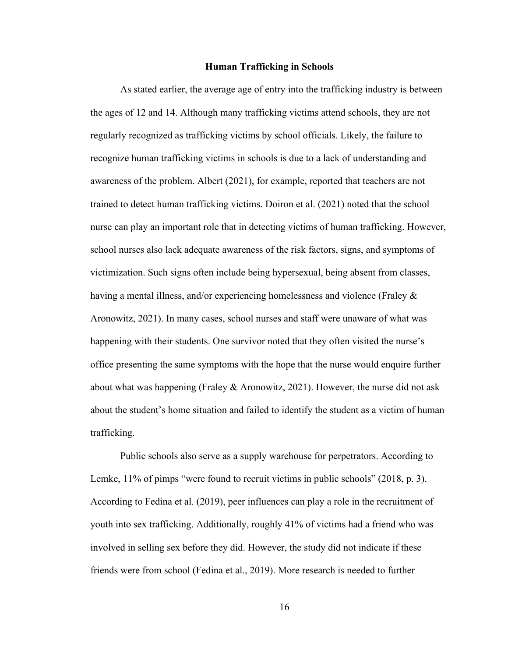#### **Human Trafficking in Schools**

As stated earlier, the average age of entry into the trafficking industry is between the ages of 12 and 14. Although many trafficking victims attend schools, they are not regularly recognized as trafficking victims by school officials. Likely, the failure to recognize human trafficking victims in schools is due to a lack of understanding and awareness of the problem. Albert (2021), for example, reported that teachers are not trained to detect human trafficking victims. Doiron et al. (2021) noted that the school nurse can play an important role that in detecting victims of human trafficking. However, school nurses also lack adequate awareness of the risk factors, signs, and symptoms of victimization. Such signs often include being hypersexual, being absent from classes, having a mental illness, and/or experiencing homelessness and violence (Fraley & Aronowitz, 2021). In many cases, school nurses and staff were unaware of what was happening with their students. One survivor noted that they often visited the nurse's office presenting the same symptoms with the hope that the nurse would enquire further about what was happening (Fraley & Aronowitz, 2021). However, the nurse did not ask about the student's home situation and failed to identify the student as a victim of human trafficking.

Public schools also serve as a supply warehouse for perpetrators. According to Lemke, 11% of pimps "were found to recruit victims in public schools" (2018, p. 3). According to Fedina et al. (2019), peer influences can play a role in the recruitment of youth into sex trafficking. Additionally, roughly 41% of victims had a friend who was involved in selling sex before they did. However, the study did not indicate if these friends were from school (Fedina et al., 2019). More research is needed to further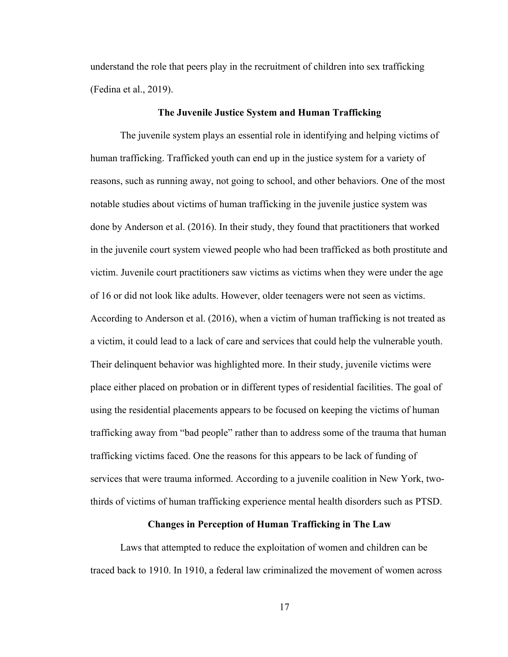understand the role that peers play in the recruitment of children into sex trafficking (Fedina et al., 2019).

#### **The Juvenile Justice System and Human Trafficking**

The juvenile system plays an essential role in identifying and helping victims of human trafficking. Trafficked youth can end up in the justice system for a variety of reasons, such as running away, not going to school, and other behaviors. One of the most notable studies about victims of human trafficking in the juvenile justice system was done by Anderson et al. (2016). In their study, they found that practitioners that worked in the juvenile court system viewed people who had been trafficked as both prostitute and victim. Juvenile court practitioners saw victims as victims when they were under the age of 16 or did not look like adults. However, older teenagers were not seen as victims. According to Anderson et al. (2016), when a victim of human trafficking is not treated as a victim, it could lead to a lack of care and services that could help the vulnerable youth. Their delinquent behavior was highlighted more. In their study, juvenile victims were place either placed on probation or in different types of residential facilities. The goal of using the residential placements appears to be focused on keeping the victims of human trafficking away from "bad people" rather than to address some of the trauma that human trafficking victims faced. One the reasons for this appears to be lack of funding of services that were trauma informed. According to a juvenile coalition in New York, twothirds of victims of human trafficking experience mental health disorders such as PTSD.

# **Changes in Perception of Human Trafficking in The Law**

Laws that attempted to reduce the exploitation of women and children can be traced back to 1910. In 1910, a federal law criminalized the movement of women across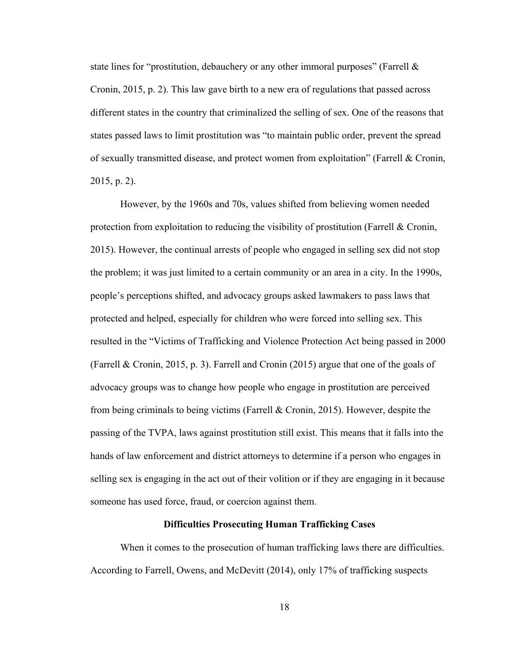state lines for "prostitution, debauchery or any other immoral purposes" (Farrell & Cronin, 2015, p. 2). This law gave birth to a new era of regulations that passed across different states in the country that criminalized the selling of sex. One of the reasons that states passed laws to limit prostitution was "to maintain public order, prevent the spread of sexually transmitted disease, and protect women from exploitation" (Farrell & Cronin, 2015, p. 2).

However, by the 1960s and 70s, values shifted from believing women needed protection from exploitation to reducing the visibility of prostitution (Farrell & Cronin, 2015). However, the continual arrests of people who engaged in selling sex did not stop the problem; it was just limited to a certain community or an area in a city. In the 1990s, people's perceptions shifted, and advocacy groups asked lawmakers to pass laws that protected and helped, especially for children who were forced into selling sex. This resulted in the "Victims of Trafficking and Violence Protection Act being passed in 2000 (Farrell & Cronin, 2015, p. 3). Farrell and Cronin (2015) argue that one of the goals of advocacy groups was to change how people who engage in prostitution are perceived from being criminals to being victims (Farrell & Cronin, 2015). However, despite the passing of the TVPA, laws against prostitution still exist. This means that it falls into the hands of law enforcement and district attorneys to determine if a person who engages in selling sex is engaging in the act out of their volition or if they are engaging in it because someone has used force, fraud, or coercion against them.

## **Difficulties Prosecuting Human Trafficking Cases**

When it comes to the prosecution of human trafficking laws there are difficulties. According to Farrell, Owens, and McDevitt (2014), only 17% of trafficking suspects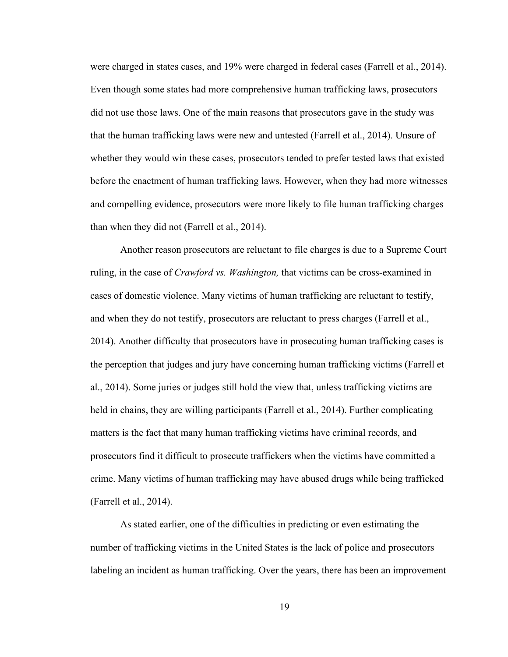were charged in states cases, and 19% were charged in federal cases (Farrell et al., 2014). Even though some states had more comprehensive human trafficking laws, prosecutors did not use those laws. One of the main reasons that prosecutors gave in the study was that the human trafficking laws were new and untested (Farrell et al., 2014). Unsure of whether they would win these cases, prosecutors tended to prefer tested laws that existed before the enactment of human trafficking laws. However, when they had more witnesses and compelling evidence, prosecutors were more likely to file human trafficking charges than when they did not (Farrell et al., 2014).

Another reason prosecutors are reluctant to file charges is due to a Supreme Court ruling, in the case of *Crawford vs. Washington,* that victims can be cross-examined in cases of domestic violence. Many victims of human trafficking are reluctant to testify, and when they do not testify, prosecutors are reluctant to press charges (Farrell et al., 2014). Another difficulty that prosecutors have in prosecuting human trafficking cases is the perception that judges and jury have concerning human trafficking victims (Farrell et al., 2014). Some juries or judges still hold the view that, unless trafficking victims are held in chains, they are willing participants (Farrell et al., 2014). Further complicating matters is the fact that many human trafficking victims have criminal records, and prosecutors find it difficult to prosecute traffickers when the victims have committed a crime. Many victims of human trafficking may have abused drugs while being trafficked (Farrell et al., 2014).

As stated earlier, one of the difficulties in predicting or even estimating the number of trafficking victims in the United States is the lack of police and prosecutors labeling an incident as human trafficking. Over the years, there has been an improvement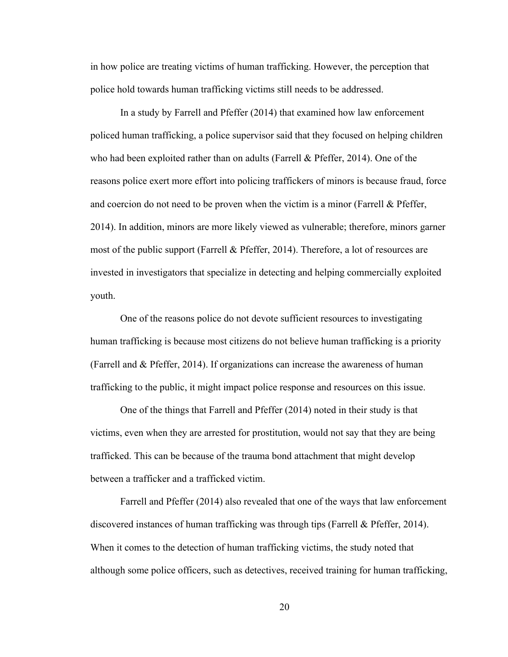in how police are treating victims of human trafficking. However, the perception that police hold towards human trafficking victims still needs to be addressed.

In a study by Farrell and Pfeffer (2014) that examined how law enforcement policed human trafficking, a police supervisor said that they focused on helping children who had been exploited rather than on adults (Farrell & Pfeffer, 2014). One of the reasons police exert more effort into policing traffickers of minors is because fraud, force and coercion do not need to be proven when the victim is a minor (Farrell & Pfeffer, 2014). In addition, minors are more likely viewed as vulnerable; therefore, minors garner most of the public support (Farrell & Pfeffer, 2014). Therefore, a lot of resources are invested in investigators that specialize in detecting and helping commercially exploited youth.

One of the reasons police do not devote sufficient resources to investigating human trafficking is because most citizens do not believe human trafficking is a priority (Farrell and & Pfeffer, 2014). If organizations can increase the awareness of human trafficking to the public, it might impact police response and resources on this issue.

One of the things that Farrell and Pfeffer (2014) noted in their study is that victims, even when they are arrested for prostitution, would not say that they are being trafficked. This can be because of the trauma bond attachment that might develop between a trafficker and a trafficked victim.

Farrell and Pfeffer (2014) also revealed that one of the ways that law enforcement discovered instances of human trafficking was through tips (Farrell & Pfeffer, 2014). When it comes to the detection of human trafficking victims, the study noted that although some police officers, such as detectives, received training for human trafficking,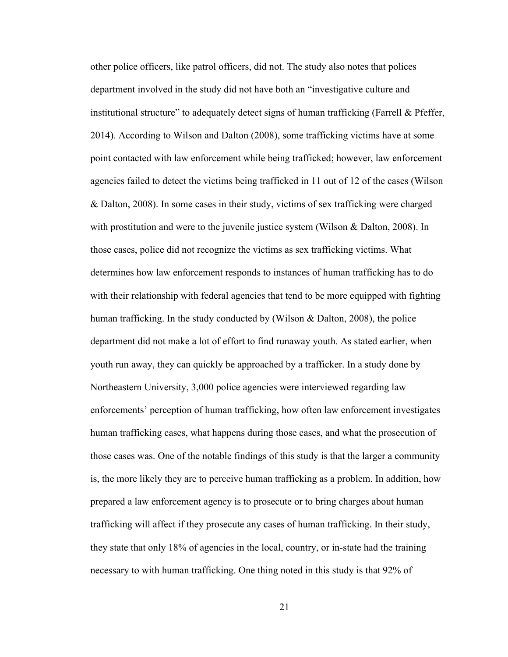other police officers, like patrol officers, did not. The study also notes that polices department involved in the study did not have both an "investigative culture and institutional structure" to adequately detect signs of human trafficking (Farrell & Pfeffer, 2014). According to Wilson and Dalton (2008), some trafficking victims have at some point contacted with law enforcement while being trafficked; however, law enforcement agencies failed to detect the victims being trafficked in 11 out of 12 of the cases (Wilson & Dalton, 2008). In some cases in their study, victims of sex trafficking were charged with prostitution and were to the juvenile justice system (Wilson & Dalton, 2008). In those cases, police did not recognize the victims as sex trafficking victims. What determines how law enforcement responds to instances of human trafficking has to do with their relationship with federal agencies that tend to be more equipped with fighting human trafficking. In the study conducted by (Wilson & Dalton, 2008), the police department did not make a lot of effort to find runaway youth. As stated earlier, when youth run away, they can quickly be approached by a trafficker. In a study done by Northeastern University, 3,000 police agencies were interviewed regarding law enforcements' perception of human trafficking, how often law enforcement investigates human trafficking cases, what happens during those cases, and what the prosecution of those cases was. One of the notable findings of this study is that the larger a community is, the more likely they are to perceive human trafficking as a problem. In addition, how prepared a law enforcement agency is to prosecute or to bring charges about human trafficking will affect if they prosecute any cases of human trafficking. In their study, they state that only 18% of agencies in the local, country, or in-state had the training necessary to with human trafficking. One thing noted in this study is that 92% of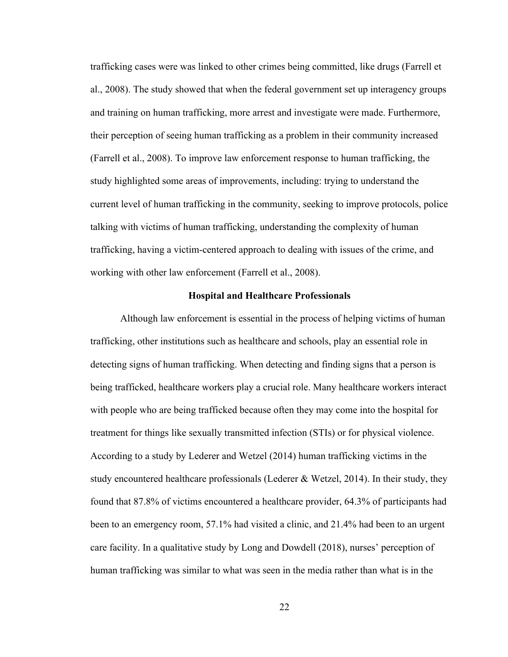trafficking cases were was linked to other crimes being committed, like drugs (Farrell et al., 2008). The study showed that when the federal government set up interagency groups and training on human trafficking, more arrest and investigate were made. Furthermore, their perception of seeing human trafficking as a problem in their community increased (Farrell et al., 2008). To improve law enforcement response to human trafficking, the study highlighted some areas of improvements, including: trying to understand the current level of human trafficking in the community, seeking to improve protocols, police talking with victims of human trafficking, understanding the complexity of human trafficking, having a victim-centered approach to dealing with issues of the crime, and working with other law enforcement (Farrell et al., 2008).

#### **Hospital and Healthcare Professionals**

Although law enforcement is essential in the process of helping victims of human trafficking, other institutions such as healthcare and schools, play an essential role in detecting signs of human trafficking. When detecting and finding signs that a person is being trafficked, healthcare workers play a crucial role. Many healthcare workers interact with people who are being trafficked because often they may come into the hospital for treatment for things like sexually transmitted infection (STIs) or for physical violence. According to a study by Lederer and Wetzel (2014) human trafficking victims in the study encountered healthcare professionals (Lederer & Wetzel, 2014). In their study, they found that 87.8% of victims encountered a healthcare provider, 64.3% of participants had been to an emergency room, 57.1% had visited a clinic, and 21.4% had been to an urgent care facility. In a qualitative study by Long and Dowdell (2018), nurses' perception of human trafficking was similar to what was seen in the media rather than what is in the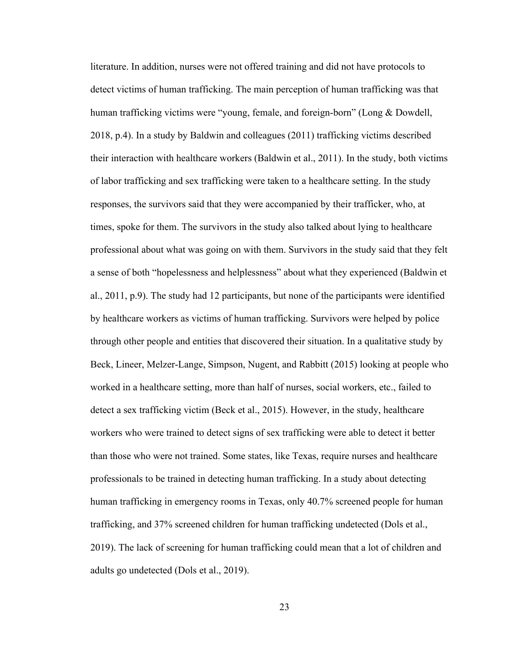literature. In addition, nurses were not offered training and did not have protocols to detect victims of human trafficking. The main perception of human trafficking was that human trafficking victims were "young, female, and foreign-born" (Long & Dowdell, 2018, p.4). In a study by Baldwin and colleagues (2011) trafficking victims described their interaction with healthcare workers (Baldwin et al., 2011). In the study, both victims of labor trafficking and sex trafficking were taken to a healthcare setting. In the study responses, the survivors said that they were accompanied by their trafficker, who, at times, spoke for them. The survivors in the study also talked about lying to healthcare professional about what was going on with them. Survivors in the study said that they felt a sense of both "hopelessness and helplessness" about what they experienced (Baldwin et al., 2011, p.9). The study had 12 participants, but none of the participants were identified by healthcare workers as victims of human trafficking. Survivors were helped by police through other people and entities that discovered their situation. In a qualitative study by Beck, Lineer, Melzer-Lange, Simpson, Nugent, and Rabbitt (2015) looking at people who worked in a healthcare setting, more than half of nurses, social workers, etc., failed to detect a sex trafficking victim (Beck et al., 2015). However, in the study, healthcare workers who were trained to detect signs of sex trafficking were able to detect it better than those who were not trained. Some states, like Texas, require nurses and healthcare professionals to be trained in detecting human trafficking. In a study about detecting human trafficking in emergency rooms in Texas, only 40.7% screened people for human trafficking, and 37% screened children for human trafficking undetected (Dols et al., 2019). The lack of screening for human trafficking could mean that a lot of children and adults go undetected (Dols et al., 2019).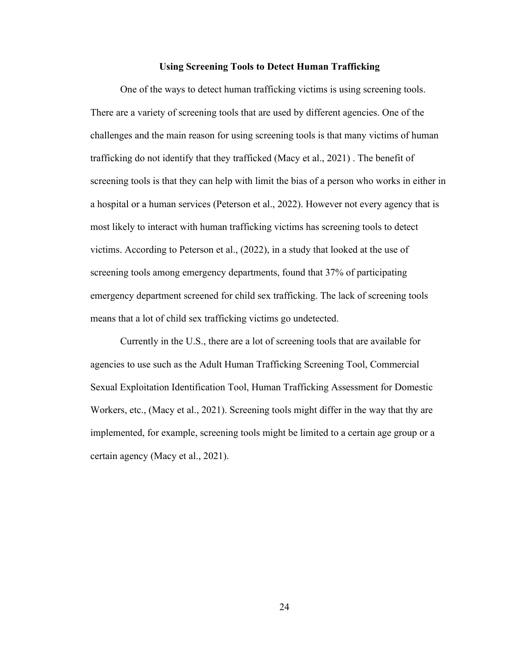#### **Using Screening Tools to Detect Human Trafficking**

One of the ways to detect human trafficking victims is using screening tools. There are a variety of screening tools that are used by different agencies. One of the challenges and the main reason for using screening tools is that many victims of human trafficking do not identify that they trafficked (Macy et al., 2021) . The benefit of screening tools is that they can help with limit the bias of a person who works in either in a hospital or a human services (Peterson et al., 2022). However not every agency that is most likely to interact with human trafficking victims has screening tools to detect victims. According to Peterson et al., (2022), in a study that looked at the use of screening tools among emergency departments, found that 37% of participating emergency department screened for child sex trafficking. The lack of screening tools means that a lot of child sex trafficking victims go undetected.

Currently in the U.S., there are a lot of screening tools that are available for agencies to use such as the Adult Human Trafficking Screening Tool, Commercial Sexual Exploitation Identification Tool, Human Trafficking Assessment for Domestic Workers, etc., (Macy et al., 2021). Screening tools might differ in the way that thy are implemented, for example, screening tools might be limited to a certain age group or a certain agency (Macy et al., 2021).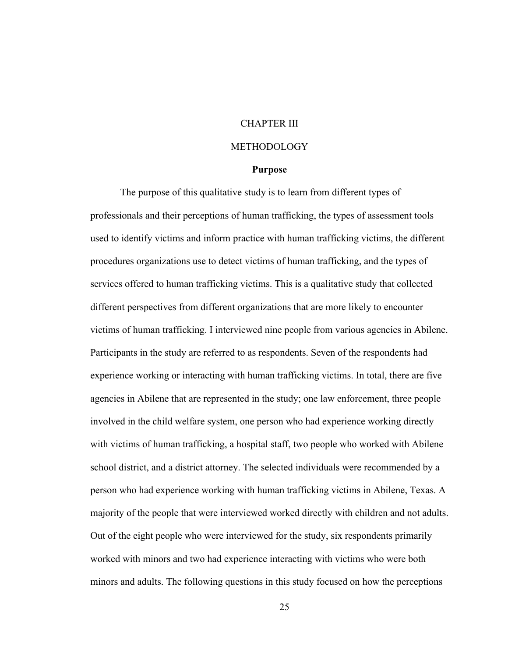# CHAPTER III

#### METHODOLOGY

#### **Purpose**

The purpose of this qualitative study is to learn from different types of professionals and their perceptions of human trafficking, the types of assessment tools used to identify victims and inform practice with human trafficking victims, the different procedures organizations use to detect victims of human trafficking, and the types of services offered to human trafficking victims. This is a qualitative study that collected different perspectives from different organizations that are more likely to encounter victims of human trafficking. I interviewed nine people from various agencies in Abilene. Participants in the study are referred to as respondents. Seven of the respondents had experience working or interacting with human trafficking victims. In total, there are five agencies in Abilene that are represented in the study; one law enforcement, three people involved in the child welfare system, one person who had experience working directly with victims of human trafficking, a hospital staff, two people who worked with Abilene school district, and a district attorney. The selected individuals were recommended by a person who had experience working with human trafficking victims in Abilene, Texas. A majority of the people that were interviewed worked directly with children and not adults. Out of the eight people who were interviewed for the study, six respondents primarily worked with minors and two had experience interacting with victims who were both minors and adults. The following questions in this study focused on how the perceptions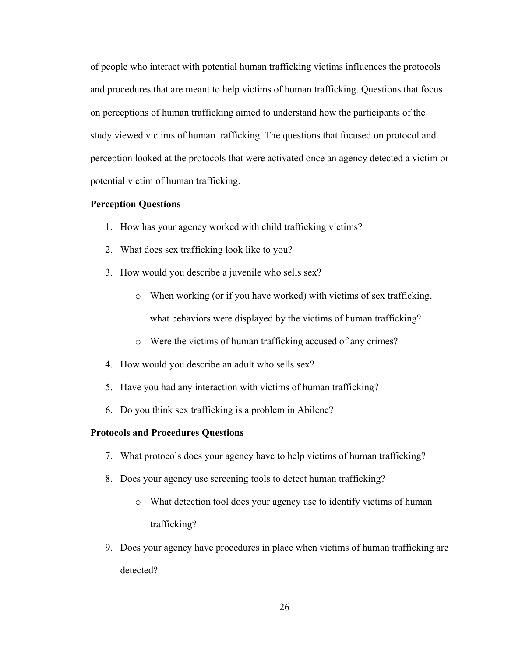of people who interact with potential human trafficking victims influences the protocols and procedures that are meant to help victims of human trafficking. Questions that focus on perceptions of human trafficking aimed to understand how the participants of the study viewed victims of human trafficking. The questions that focused on protocol and perception looked at the protocols that were activated once an agency detected a victim or potential victim of human trafficking.

#### **Perception Questions**

- 1. How has your agency worked with child trafficking victims?
- 2. What does sex trafficking look like to you?
- 3. How would you describe a juvenile who sells sex?
	- o When working (or if you have worked) with victims of sex trafficking, what behaviors were displayed by the victims of human trafficking?
	- o Were the victims of human trafficking accused of any crimes?
- 4. How would you describe an adult who sells sex?
- 5. Have you had any interaction with victims of human trafficking?
- 6. Do you think sex trafficking is a problem in Abilene?

## **Protocols and Procedures Questions**

- 7. What protocols does your agency have to help victims of human trafficking?
- 8. Does your agency use screening tools to detect human trafficking?
	- o What detection tool does your agency use to identify victims of human trafficking?
- 9. Does your agency have procedures in place when victims of human trafficking are detected?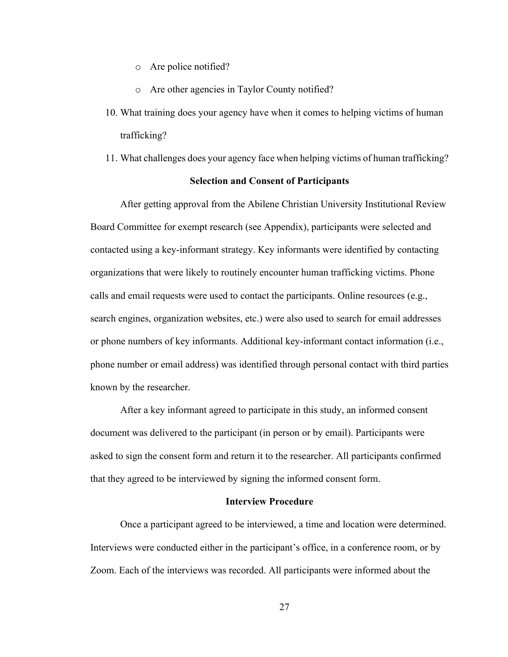- o Are police notified?
- o Are other agencies in Taylor County notified?
- 10. What training does your agency have when it comes to helping victims of human trafficking?
- 11. What challenges does your agency face when helping victims of human trafficking?

#### **Selection and Consent of Participants**

After getting approval from the Abilene Christian University Institutional Review Board Committee for exempt research (see Appendix), participants were selected and contacted using a key-informant strategy. Key informants were identified by contacting organizations that were likely to routinely encounter human trafficking victims. Phone calls and email requests were used to contact the participants. Online resources (e.g., search engines, organization websites, etc.) were also used to search for email addresses or phone numbers of key informants. Additional key-informant contact information (i.e., phone number or email address) was identified through personal contact with third parties known by the researcher.

After a key informant agreed to participate in this study, an informed consent document was delivered to the participant (in person or by email). Participants were asked to sign the consent form and return it to the researcher. All participants confirmed that they agreed to be interviewed by signing the informed consent form.

#### **Interview Procedure**

Once a participant agreed to be interviewed, a time and location were determined. Interviews were conducted either in the participant's office, in a conference room, or by Zoom. Each of the interviews was recorded. All participants were informed about the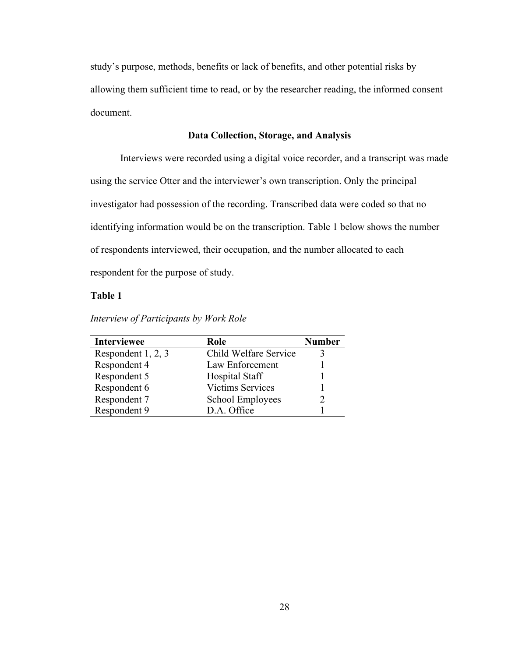study's purpose, methods, benefits or lack of benefits, and other potential risks by allowing them sufficient time to read, or by the researcher reading, the informed consent document.

## **Data Collection, Storage, and Analysis**

Interviews were recorded using a digital voice recorder, and a transcript was made using the service Otter and the interviewer's own transcription. Only the principal investigator had possession of the recording. Transcribed data were coded so that no identifying information would be on the transcription. Table 1 below shows the number of respondents interviewed, their occupation, and the number allocated to each respondent for the purpose of study.

### **Table 1**

| <b>Interviewee</b> | Role                    | <b>Number</b> |
|--------------------|-------------------------|---------------|
| Respondent 1, 2, 3 | Child Welfare Service   |               |
| Respondent 4       | Law Enforcement         |               |
| Respondent 5       | Hospital Staff          |               |
| Respondent 6       | <b>Victims Services</b> |               |
| Respondent 7       | School Employees        |               |
| Respondent 9       | D.A. Office             |               |

*Interview of Participants by Work Role*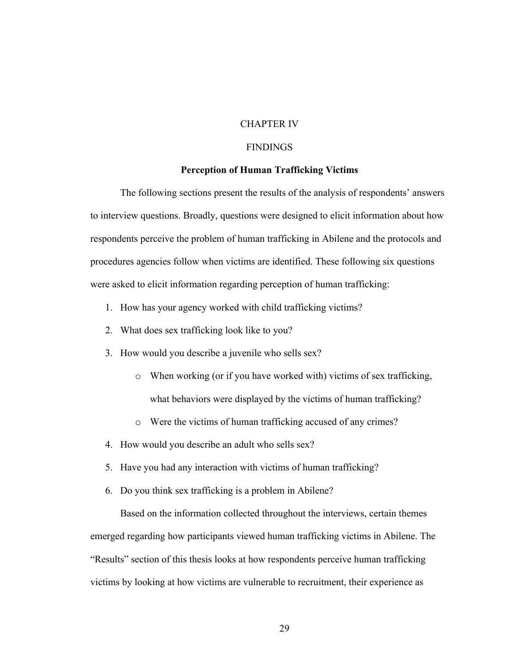# CHAPTER IV

## **FINDINGS**

## **Perception of Human Trafficking Victims**

The following sections present the results of the analysis of respondents' answers to interview questions. Broadly, questions were designed to elicit information about how respondents perceive the problem of human trafficking in Abilene and the protocols and procedures agencies follow when victims are identified. These following six questions were asked to elicit information regarding perception of human trafficking:

- 1. How has your agency worked with child trafficking victims?
- 2. What does sex trafficking look like to you?
- 3. How would you describe a juvenile who sells sex?
	- o When working (or if you have worked with) victims of sex trafficking, what behaviors were displayed by the victims of human trafficking?
	- o Were the victims of human trafficking accused of any crimes?
- 4. How would you describe an adult who sells sex?
- 5. Have you had any interaction with victims of human trafficking?
- 6. Do you think sex trafficking is a problem in Abilene?

Based on the information collected throughout the interviews, certain themes emerged regarding how participants viewed human trafficking victims in Abilene. The "Results" section of this thesis looks at how respondents perceive human trafficking victims by looking at how victims are vulnerable to recruitment, their experience as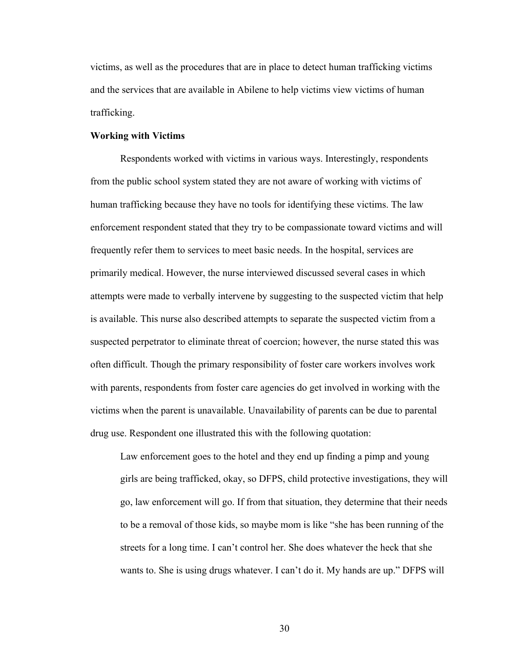victims, as well as the procedures that are in place to detect human trafficking victims and the services that are available in Abilene to help victims view victims of human trafficking.

#### **Working with Victims**

Respondents worked with victims in various ways. Interestingly, respondents from the public school system stated they are not aware of working with victims of human trafficking because they have no tools for identifying these victims. The law enforcement respondent stated that they try to be compassionate toward victims and will frequently refer them to services to meet basic needs. In the hospital, services are primarily medical. However, the nurse interviewed discussed several cases in which attempts were made to verbally intervene by suggesting to the suspected victim that help is available. This nurse also described attempts to separate the suspected victim from a suspected perpetrator to eliminate threat of coercion; however, the nurse stated this was often difficult. Though the primary responsibility of foster care workers involves work with parents, respondents from foster care agencies do get involved in working with the victims when the parent is unavailable. Unavailability of parents can be due to parental drug use. Respondent one illustrated this with the following quotation:

Law enforcement goes to the hotel and they end up finding a pimp and young girls are being trafficked, okay, so DFPS, child protective investigations, they will go, law enforcement will go. If from that situation, they determine that their needs to be a removal of those kids, so maybe mom is like "she has been running of the streets for a long time. I can't control her. She does whatever the heck that she wants to. She is using drugs whatever. I can't do it. My hands are up." DFPS will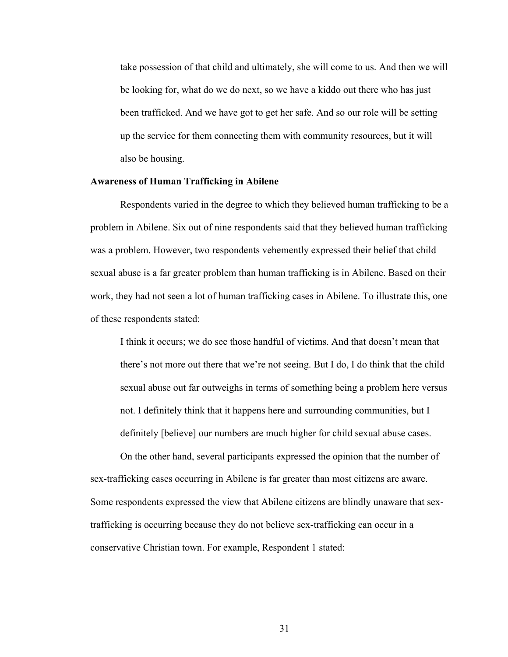take possession of that child and ultimately, she will come to us. And then we will be looking for, what do we do next, so we have a kiddo out there who has just been trafficked. And we have got to get her safe. And so our role will be setting up the service for them connecting them with community resources, but it will also be housing.

### **Awareness of Human Trafficking in Abilene**

Respondents varied in the degree to which they believed human trafficking to be a problem in Abilene. Six out of nine respondents said that they believed human trafficking was a problem. However, two respondents vehemently expressed their belief that child sexual abuse is a far greater problem than human trafficking is in Abilene. Based on their work, they had not seen a lot of human trafficking cases in Abilene. To illustrate this, one of these respondents stated:

I think it occurs; we do see those handful of victims. And that doesn't mean that there's not more out there that we're not seeing. But I do, I do think that the child sexual abuse out far outweighs in terms of something being a problem here versus not. I definitely think that it happens here and surrounding communities, but I definitely [believe] our numbers are much higher for child sexual abuse cases.

On the other hand, several participants expressed the opinion that the number of sex-trafficking cases occurring in Abilene is far greater than most citizens are aware. Some respondents expressed the view that Abilene citizens are blindly unaware that sextrafficking is occurring because they do not believe sex-trafficking can occur in a conservative Christian town. For example, Respondent 1 stated: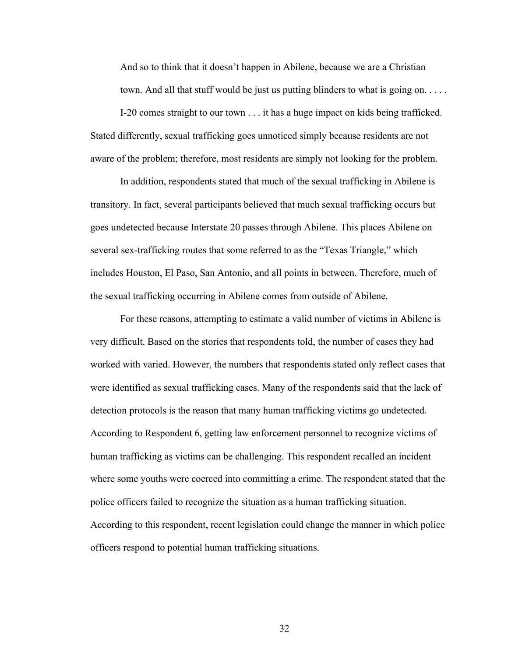And so to think that it doesn't happen in Abilene, because we are a Christian town. And all that stuff would be just us putting blinders to what is going on. . . . .

I-20 comes straight to our town . . . it has a huge impact on kids being trafficked. Stated differently, sexual trafficking goes unnoticed simply because residents are not aware of the problem; therefore, most residents are simply not looking for the problem.

In addition, respondents stated that much of the sexual trafficking in Abilene is transitory. In fact, several participants believed that much sexual trafficking occurs but goes undetected because Interstate 20 passes through Abilene. This places Abilene on several sex-trafficking routes that some referred to as the "Texas Triangle," which includes Houston, El Paso, San Antonio, and all points in between. Therefore, much of the sexual trafficking occurring in Abilene comes from outside of Abilene.

For these reasons, attempting to estimate a valid number of victims in Abilene is very difficult. Based on the stories that respondents told, the number of cases they had worked with varied. However, the numbers that respondents stated only reflect cases that were identified as sexual trafficking cases. Many of the respondents said that the lack of detection protocols is the reason that many human trafficking victims go undetected. According to Respondent 6, getting law enforcement personnel to recognize victims of human trafficking as victims can be challenging. This respondent recalled an incident where some youths were coerced into committing a crime. The respondent stated that the police officers failed to recognize the situation as a human trafficking situation. According to this respondent, recent legislation could change the manner in which police officers respond to potential human trafficking situations.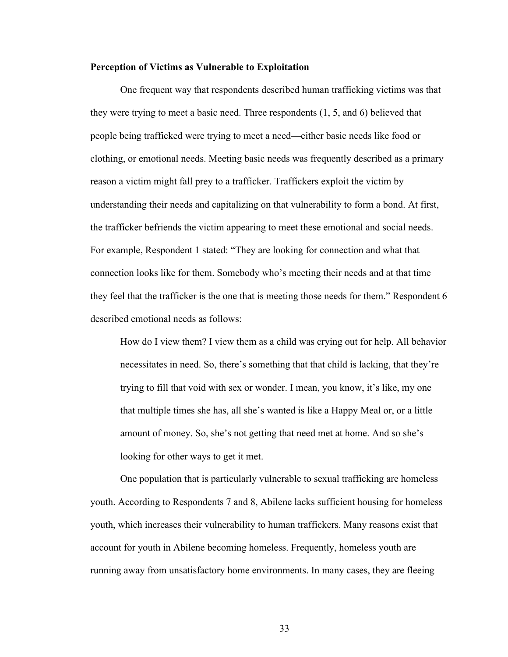#### **Perception of Victims as Vulnerable to Exploitation**

One frequent way that respondents described human trafficking victims was that they were trying to meet a basic need. Three respondents (1, 5, and 6) believed that people being trafficked were trying to meet a need—either basic needs like food or clothing, or emotional needs. Meeting basic needs was frequently described as a primary reason a victim might fall prey to a trafficker. Traffickers exploit the victim by understanding their needs and capitalizing on that vulnerability to form a bond. At first, the trafficker befriends the victim appearing to meet these emotional and social needs. For example, Respondent 1 stated: "They are looking for connection and what that connection looks like for them. Somebody who's meeting their needs and at that time they feel that the trafficker is the one that is meeting those needs for them." Respondent 6 described emotional needs as follows:

How do I view them? I view them as a child was crying out for help. All behavior necessitates in need. So, there's something that that child is lacking, that they're trying to fill that void with sex or wonder. I mean, you know, it's like, my one that multiple times she has, all she's wanted is like a Happy Meal or, or a little amount of money. So, she's not getting that need met at home. And so she's looking for other ways to get it met.

One population that is particularly vulnerable to sexual trafficking are homeless youth. According to Respondents 7 and 8, Abilene lacks sufficient housing for homeless youth, which increases their vulnerability to human traffickers. Many reasons exist that account for youth in Abilene becoming homeless. Frequently, homeless youth are running away from unsatisfactory home environments. In many cases, they are fleeing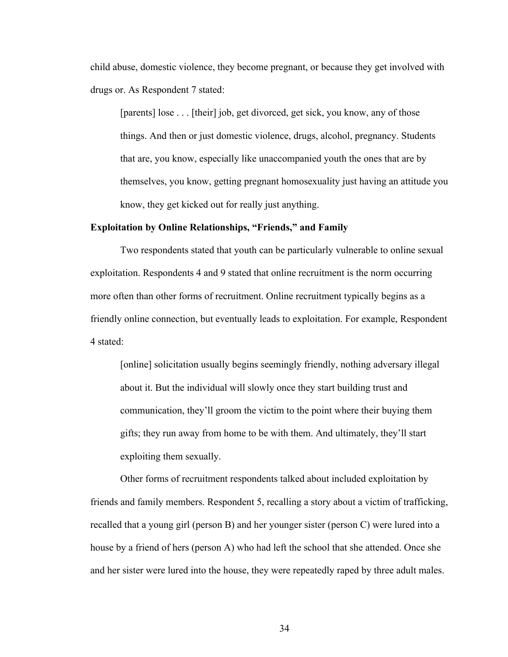child abuse, domestic violence, they become pregnant, or because they get involved with drugs or. As Respondent 7 stated:

[parents] lose . . . [their] job, get divorced, get sick, you know, any of those things. And then or just domestic violence, drugs, alcohol, pregnancy. Students that are, you know, especially like unaccompanied youth the ones that are by themselves, you know, getting pregnant homosexuality just having an attitude you know, they get kicked out for really just anything.

## **Exploitation by Online Relationships, "Friends," and Family**

Two respondents stated that youth can be particularly vulnerable to online sexual exploitation. Respondents 4 and 9 stated that online recruitment is the norm occurring more often than other forms of recruitment. Online recruitment typically begins as a friendly online connection, but eventually leads to exploitation. For example, Respondent 4 stated:

[online] solicitation usually begins seemingly friendly, nothing adversary illegal about it. But the individual will slowly once they start building trust and communication, they'll groom the victim to the point where their buying them gifts; they run away from home to be with them. And ultimately, they'll start exploiting them sexually.

Other forms of recruitment respondents talked about included exploitation by friends and family members. Respondent 5, recalling a story about a victim of trafficking, recalled that a young girl (person B) and her younger sister (person C) were lured into a house by a friend of hers (person A) who had left the school that she attended. Once she and her sister were lured into the house, they were repeatedly raped by three adult males.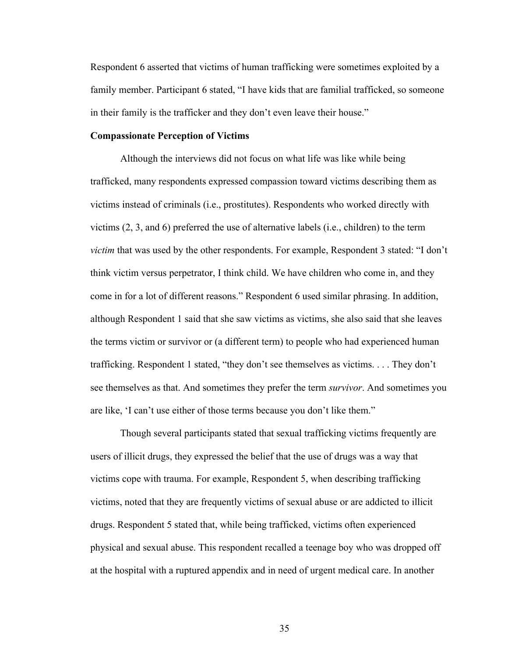Respondent 6 asserted that victims of human trafficking were sometimes exploited by a family member. Participant 6 stated, "I have kids that are familial trafficked, so someone in their family is the trafficker and they don't even leave their house."

#### **Compassionate Perception of Victims**

Although the interviews did not focus on what life was like while being trafficked, many respondents expressed compassion toward victims describing them as victims instead of criminals (i.e., prostitutes). Respondents who worked directly with victims (2, 3, and 6) preferred the use of alternative labels (i.e., children) to the term *victim* that was used by the other respondents. For example, Respondent 3 stated: "I don't think victim versus perpetrator, I think child. We have children who come in, and they come in for a lot of different reasons." Respondent 6 used similar phrasing. In addition, although Respondent 1 said that she saw victims as victims, she also said that she leaves the terms victim or survivor or (a different term) to people who had experienced human trafficking. Respondent 1 stated, "they don't see themselves as victims. . . . They don't see themselves as that. And sometimes they prefer the term *survivor*. And sometimes you are like, 'I can't use either of those terms because you don't like them."

Though several participants stated that sexual trafficking victims frequently are users of illicit drugs, they expressed the belief that the use of drugs was a way that victims cope with trauma. For example, Respondent 5, when describing trafficking victims, noted that they are frequently victims of sexual abuse or are addicted to illicit drugs. Respondent 5 stated that, while being trafficked, victims often experienced physical and sexual abuse. This respondent recalled a teenage boy who was dropped off at the hospital with a ruptured appendix and in need of urgent medical care. In another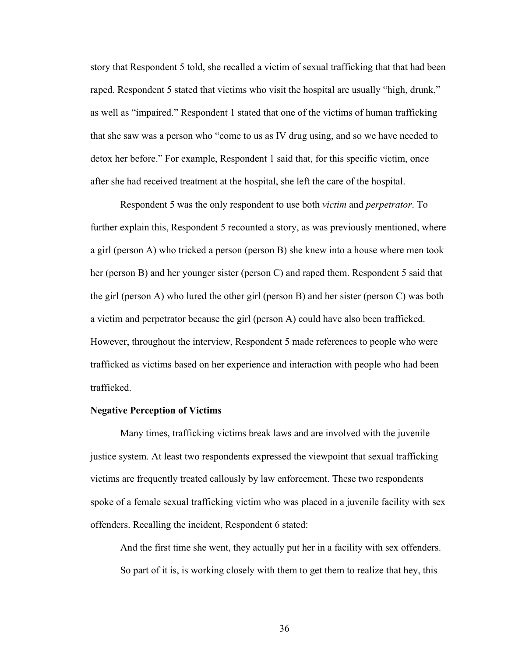story that Respondent 5 told, she recalled a victim of sexual trafficking that that had been raped. Respondent 5 stated that victims who visit the hospital are usually "high, drunk," as well as "impaired." Respondent 1 stated that one of the victims of human trafficking that she saw was a person who "come to us as IV drug using, and so we have needed to detox her before." For example, Respondent 1 said that, for this specific victim, once after she had received treatment at the hospital, she left the care of the hospital.

Respondent 5 was the only respondent to use both *victim* and *perpetrator*. To further explain this, Respondent 5 recounted a story, as was previously mentioned, where a girl (person A) who tricked a person (person B) she knew into a house where men took her (person B) and her younger sister (person C) and raped them. Respondent 5 said that the girl (person A) who lured the other girl (person B) and her sister (person C) was both a victim and perpetrator because the girl (person A) could have also been trafficked. However, throughout the interview, Respondent 5 made references to people who were trafficked as victims based on her experience and interaction with people who had been trafficked.

## **Negative Perception of Victims**

Many times, trafficking victims break laws and are involved with the juvenile justice system. At least two respondents expressed the viewpoint that sexual trafficking victims are frequently treated callously by law enforcement. These two respondents spoke of a female sexual trafficking victim who was placed in a juvenile facility with sex offenders. Recalling the incident, Respondent 6 stated:

And the first time she went, they actually put her in a facility with sex offenders. So part of it is, is working closely with them to get them to realize that hey, this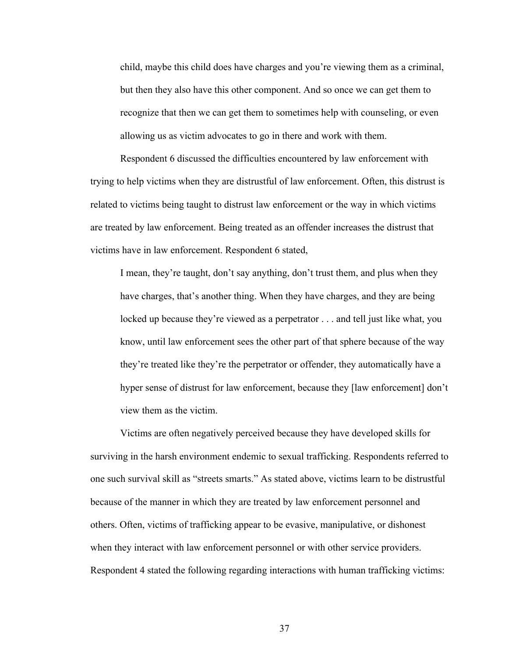child, maybe this child does have charges and you're viewing them as a criminal, but then they also have this other component. And so once we can get them to recognize that then we can get them to sometimes help with counseling, or even allowing us as victim advocates to go in there and work with them.

Respondent 6 discussed the difficulties encountered by law enforcement with trying to help victims when they are distrustful of law enforcement. Often, this distrust is related to victims being taught to distrust law enforcement or the way in which victims are treated by law enforcement. Being treated as an offender increases the distrust that victims have in law enforcement. Respondent 6 stated,

I mean, they're taught, don't say anything, don't trust them, and plus when they have charges, that's another thing. When they have charges, and they are being locked up because they're viewed as a perpetrator . . . and tell just like what, you know, until law enforcement sees the other part of that sphere because of the way they're treated like they're the perpetrator or offender, they automatically have a hyper sense of distrust for law enforcement, because they [law enforcement] don't view them as the victim.

Victims are often negatively perceived because they have developed skills for surviving in the harsh environment endemic to sexual trafficking. Respondents referred to one such survival skill as "streets smarts." As stated above, victims learn to be distrustful because of the manner in which they are treated by law enforcement personnel and others. Often, victims of trafficking appear to be evasive, manipulative, or dishonest when they interact with law enforcement personnel or with other service providers. Respondent 4 stated the following regarding interactions with human trafficking victims: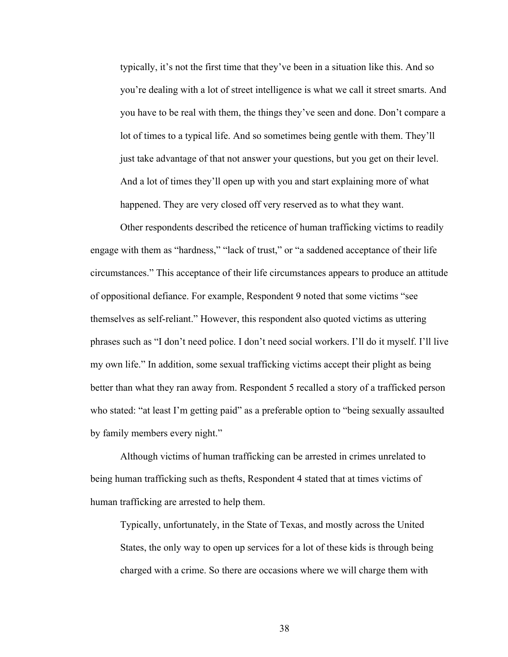typically, it's not the first time that they've been in a situation like this. And so you're dealing with a lot of street intelligence is what we call it street smarts. And you have to be real with them, the things they've seen and done. Don't compare a lot of times to a typical life. And so sometimes being gentle with them. They'll just take advantage of that not answer your questions, but you get on their level. And a lot of times they'll open up with you and start explaining more of what happened. They are very closed off very reserved as to what they want.

Other respondents described the reticence of human trafficking victims to readily engage with them as "hardness," "lack of trust," or "a saddened acceptance of their life circumstances." This acceptance of their life circumstances appears to produce an attitude of oppositional defiance. For example, Respondent 9 noted that some victims "see themselves as self-reliant." However, this respondent also quoted victims as uttering phrases such as "I don't need police. I don't need social workers. I'll do it myself. I'll live my own life." In addition, some sexual trafficking victims accept their plight as being better than what they ran away from. Respondent 5 recalled a story of a trafficked person who stated: "at least I'm getting paid" as a preferable option to "being sexually assaulted by family members every night."

Although victims of human trafficking can be arrested in crimes unrelated to being human trafficking such as thefts, Respondent 4 stated that at times victims of human trafficking are arrested to help them.

Typically, unfortunately, in the State of Texas, and mostly across the United States, the only way to open up services for a lot of these kids is through being charged with a crime. So there are occasions where we will charge them with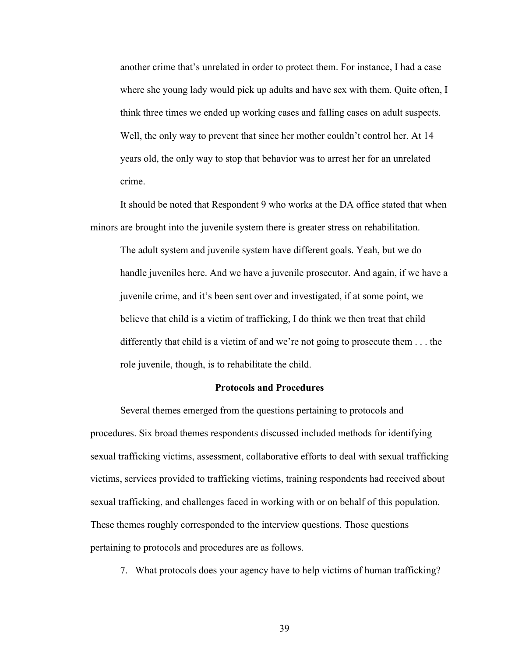another crime that's unrelated in order to protect them. For instance, I had a case where she young lady would pick up adults and have sex with them. Quite often, I think three times we ended up working cases and falling cases on adult suspects. Well, the only way to prevent that since her mother couldn't control her. At 14 years old, the only way to stop that behavior was to arrest her for an unrelated crime.

It should be noted that Respondent 9 who works at the DA office stated that when minors are brought into the juvenile system there is greater stress on rehabilitation.

The adult system and juvenile system have different goals. Yeah, but we do handle juveniles here. And we have a juvenile prosecutor. And again, if we have a juvenile crime, and it's been sent over and investigated, if at some point, we believe that child is a victim of trafficking, I do think we then treat that child differently that child is a victim of and we're not going to prosecute them . . . the role juvenile, though, is to rehabilitate the child.

## **Protocols and Procedures**

Several themes emerged from the questions pertaining to protocols and procedures. Six broad themes respondents discussed included methods for identifying sexual trafficking victims, assessment, collaborative efforts to deal with sexual trafficking victims, services provided to trafficking victims, training respondents had received about sexual trafficking, and challenges faced in working with or on behalf of this population. These themes roughly corresponded to the interview questions. Those questions pertaining to protocols and procedures are as follows.

7. What protocols does your agency have to help victims of human trafficking?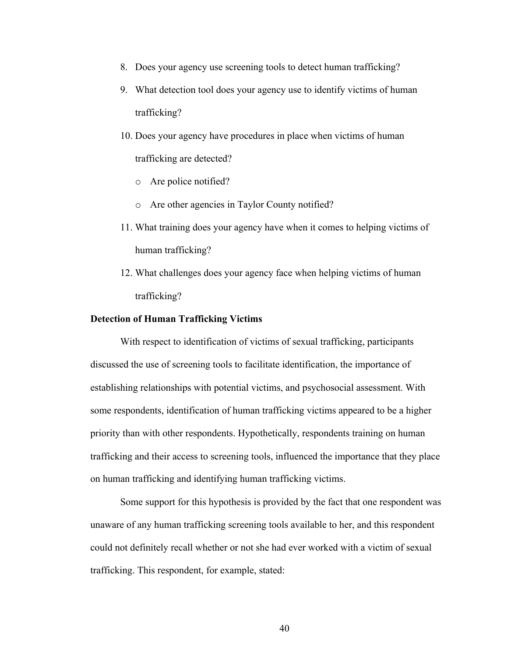- 8. Does your agency use screening tools to detect human trafficking?
- 9. What detection tool does your agency use to identify victims of human trafficking?
- 10. Does your agency have procedures in place when victims of human trafficking are detected?
	- o Are police notified?
	- o Are other agencies in Taylor County notified?
- 11. What training does your agency have when it comes to helping victims of human trafficking?
- 12. What challenges does your agency face when helping victims of human trafficking?

## **Detection of Human Trafficking Victims**

With respect to identification of victims of sexual trafficking, participants discussed the use of screening tools to facilitate identification, the importance of establishing relationships with potential victims, and psychosocial assessment. With some respondents, identification of human trafficking victims appeared to be a higher priority than with other respondents. Hypothetically, respondents training on human trafficking and their access to screening tools, influenced the importance that they place on human trafficking and identifying human trafficking victims.

Some support for this hypothesis is provided by the fact that one respondent was unaware of any human trafficking screening tools available to her, and this respondent could not definitely recall whether or not she had ever worked with a victim of sexual trafficking. This respondent, for example, stated: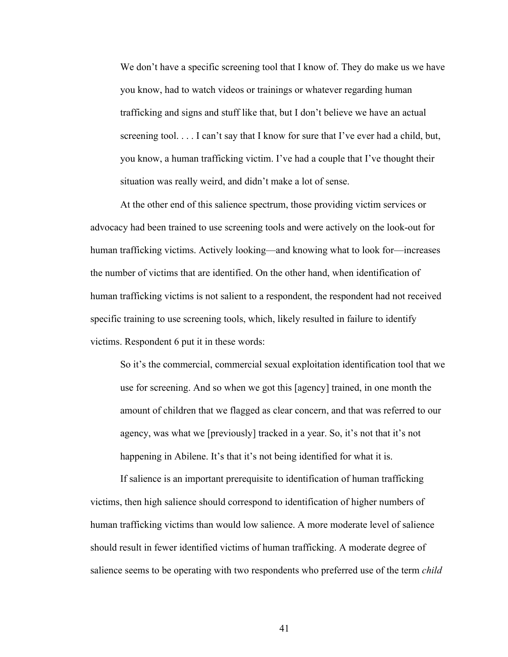We don't have a specific screening tool that I know of. They do make us we have you know, had to watch videos or trainings or whatever regarding human trafficking and signs and stuff like that, but I don't believe we have an actual screening tool. . . . I can't say that I know for sure that I've ever had a child, but, you know, a human trafficking victim. I've had a couple that I've thought their situation was really weird, and didn't make a lot of sense.

At the other end of this salience spectrum, those providing victim services or advocacy had been trained to use screening tools and were actively on the look-out for human trafficking victims. Actively looking—and knowing what to look for—increases the number of victims that are identified. On the other hand, when identification of human trafficking victims is not salient to a respondent, the respondent had not received specific training to use screening tools, which, likely resulted in failure to identify victims. Respondent 6 put it in these words:

So it's the commercial, commercial sexual exploitation identification tool that we use for screening. And so when we got this [agency] trained, in one month the amount of children that we flagged as clear concern, and that was referred to our agency, was what we [previously] tracked in a year. So, it's not that it's not happening in Abilene. It's that it's not being identified for what it is.

If salience is an important prerequisite to identification of human trafficking victims, then high salience should correspond to identification of higher numbers of human trafficking victims than would low salience. A more moderate level of salience should result in fewer identified victims of human trafficking. A moderate degree of salience seems to be operating with two respondents who preferred use of the term *child*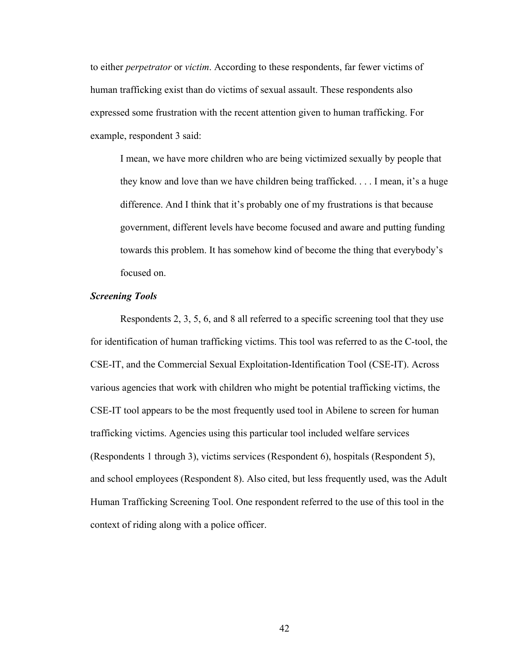to either *perpetrator* or *victim*. According to these respondents, far fewer victims of human trafficking exist than do victims of sexual assault. These respondents also expressed some frustration with the recent attention given to human trafficking. For example, respondent 3 said:

I mean, we have more children who are being victimized sexually by people that they know and love than we have children being trafficked. . . . I mean, it's a huge difference. And I think that it's probably one of my frustrations is that because government, different levels have become focused and aware and putting funding towards this problem. It has somehow kind of become the thing that everybody's focused on.

## *Screening Tools*

Respondents 2, 3, 5, 6, and 8 all referred to a specific screening tool that they use for identification of human trafficking victims. This tool was referred to as the C-tool, the CSE-IT, and the Commercial Sexual Exploitation-Identification Tool (CSE-IT). Across various agencies that work with children who might be potential trafficking victims, the CSE-IT tool appears to be the most frequently used tool in Abilene to screen for human trafficking victims. Agencies using this particular tool included welfare services (Respondents 1 through 3), victims services (Respondent 6), hospitals (Respondent 5), and school employees (Respondent 8). Also cited, but less frequently used, was the Adult Human Trafficking Screening Tool. One respondent referred to the use of this tool in the context of riding along with a police officer.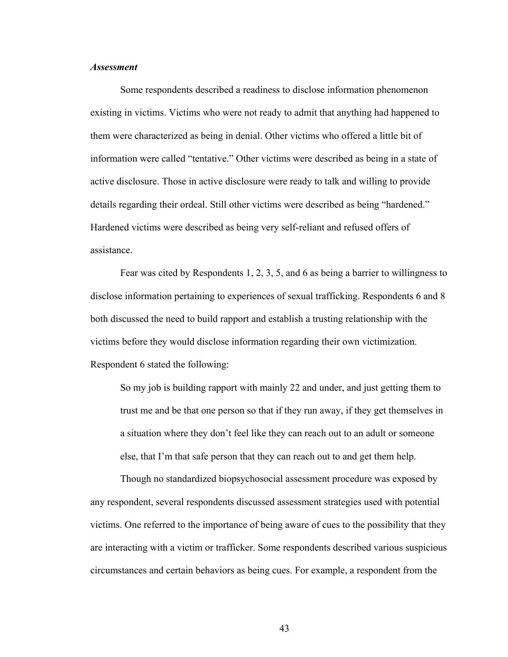## *Assessment*

Some respondents described a readiness to disclose information phenomenon existing in victims. Victims who were not ready to admit that anything had happened to them were characterized as being in denial. Other victims who offered a little bit of information were called "tentative." Other victims were described as being in a state of active disclosure. Those in active disclosure were ready to talk and willing to provide details regarding their ordeal. Still other victims were described as being "hardened." Hardened victims were described as being very self-reliant and refused offers of assistance.

Fear was cited by Respondents 1, 2, 3, 5, and 6 as being a barrier to willingness to disclose information pertaining to experiences of sexual trafficking. Respondents 6 and 8 both discussed the need to build rapport and establish a trusting relationship with the victims before they would disclose information regarding their own victimization. Respondent 6 stated the following:

So my job is building rapport with mainly 22 and under, and just getting them to trust me and be that one person so that if they run away, if they get themselves in a situation where they don't feel like they can reach out to an adult or someone else, that I'm that safe person that they can reach out to and get them help.

Though no standardized biopsychosocial assessment procedure was exposed by any respondent, several respondents discussed assessment strategies used with potential victims. One referred to the importance of being aware of cues to the possibility that they are interacting with a victim or trafficker. Some respondents described various suspicious circumstances and certain behaviors as being cues. For example, a respondent from the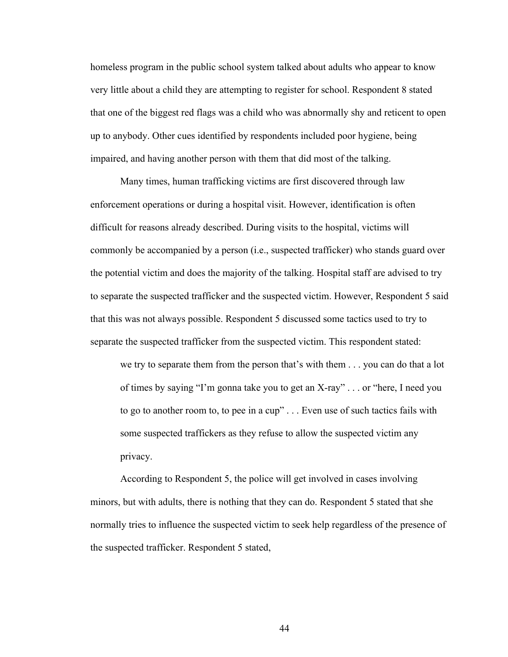homeless program in the public school system talked about adults who appear to know very little about a child they are attempting to register for school. Respondent 8 stated that one of the biggest red flags was a child who was abnormally shy and reticent to open up to anybody. Other cues identified by respondents included poor hygiene, being impaired, and having another person with them that did most of the talking.

Many times, human trafficking victims are first discovered through law enforcement operations or during a hospital visit. However, identification is often difficult for reasons already described. During visits to the hospital, victims will commonly be accompanied by a person (i.e., suspected trafficker) who stands guard over the potential victim and does the majority of the talking. Hospital staff are advised to try to separate the suspected trafficker and the suspected victim. However, Respondent 5 said that this was not always possible. Respondent 5 discussed some tactics used to try to separate the suspected trafficker from the suspected victim. This respondent stated:

we try to separate them from the person that's with them . . . you can do that a lot of times by saying "I'm gonna take you to get an X-ray" . . . or "here, I need you to go to another room to, to pee in a cup" . . . Even use of such tactics fails with some suspected traffickers as they refuse to allow the suspected victim any privacy.

According to Respondent 5, the police will get involved in cases involving minors, but with adults, there is nothing that they can do. Respondent 5 stated that she normally tries to influence the suspected victim to seek help regardless of the presence of the suspected trafficker. Respondent 5 stated,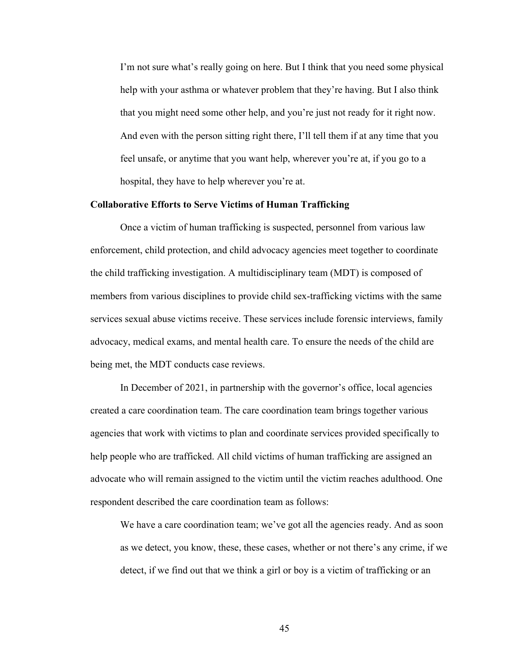I'm not sure what's really going on here. But I think that you need some physical help with your asthma or whatever problem that they're having. But I also think that you might need some other help, and you're just not ready for it right now. And even with the person sitting right there, I'll tell them if at any time that you feel unsafe, or anytime that you want help, wherever you're at, if you go to a hospital, they have to help wherever you're at.

## **Collaborative Efforts to Serve Victims of Human Trafficking**

Once a victim of human trafficking is suspected, personnel from various law enforcement, child protection, and child advocacy agencies meet together to coordinate the child trafficking investigation. A multidisciplinary team (MDT) is composed of members from various disciplines to provide child sex-trafficking victims with the same services sexual abuse victims receive. These services include forensic interviews, family advocacy, medical exams, and mental health care. To ensure the needs of the child are being met, the MDT conducts case reviews.

In December of 2021, in partnership with the governor's office, local agencies created a care coordination team. The care coordination team brings together various agencies that work with victims to plan and coordinate services provided specifically to help people who are trafficked. All child victims of human trafficking are assigned an advocate who will remain assigned to the victim until the victim reaches adulthood. One respondent described the care coordination team as follows:

We have a care coordination team; we've got all the agencies ready. And as soon as we detect, you know, these, these cases, whether or not there's any crime, if we detect, if we find out that we think a girl or boy is a victim of trafficking or an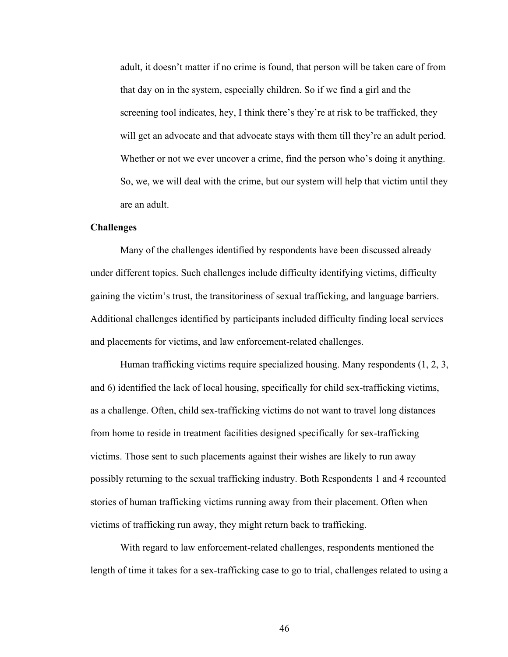adult, it doesn't matter if no crime is found, that person will be taken care of from that day on in the system, especially children. So if we find a girl and the screening tool indicates, hey, I think there's they're at risk to be trafficked, they will get an advocate and that advocate stays with them till they're an adult period. Whether or not we ever uncover a crime, find the person who's doing it anything. So, we, we will deal with the crime, but our system will help that victim until they are an adult.

## **Challenges**

Many of the challenges identified by respondents have been discussed already under different topics. Such challenges include difficulty identifying victims, difficulty gaining the victim's trust, the transitoriness of sexual trafficking, and language barriers. Additional challenges identified by participants included difficulty finding local services and placements for victims, and law enforcement-related challenges.

Human trafficking victims require specialized housing. Many respondents (1, 2, 3, and 6) identified the lack of local housing, specifically for child sex-trafficking victims, as a challenge. Often, child sex-trafficking victims do not want to travel long distances from home to reside in treatment facilities designed specifically for sex-trafficking victims. Those sent to such placements against their wishes are likely to run away possibly returning to the sexual trafficking industry. Both Respondents 1 and 4 recounted stories of human trafficking victims running away from their placement. Often when victims of trafficking run away, they might return back to trafficking.

With regard to law enforcement-related challenges, respondents mentioned the length of time it takes for a sex-trafficking case to go to trial, challenges related to using a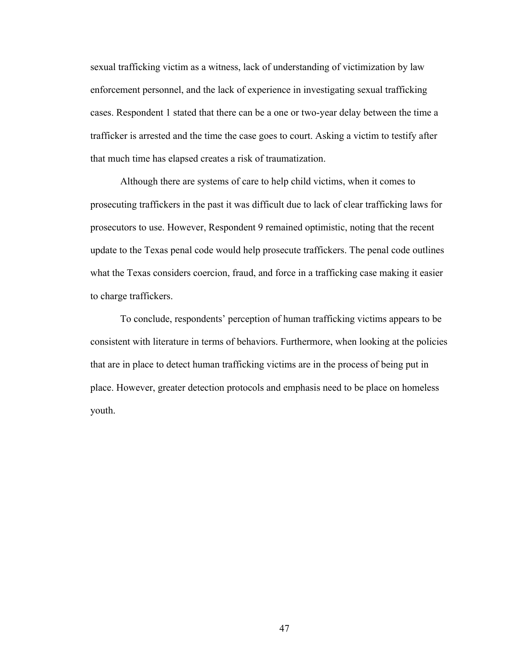sexual trafficking victim as a witness, lack of understanding of victimization by law enforcement personnel, and the lack of experience in investigating sexual trafficking cases. Respondent 1 stated that there can be a one or two-year delay between the time a trafficker is arrested and the time the case goes to court. Asking a victim to testify after that much time has elapsed creates a risk of traumatization.

Although there are systems of care to help child victims, when it comes to prosecuting traffickers in the past it was difficult due to lack of clear trafficking laws for prosecutors to use. However, Respondent 9 remained optimistic, noting that the recent update to the Texas penal code would help prosecute traffickers. The penal code outlines what the Texas considers coercion, fraud, and force in a trafficking case making it easier to charge traffickers.

To conclude, respondents' perception of human trafficking victims appears to be consistent with literature in terms of behaviors. Furthermore, when looking at the policies that are in place to detect human trafficking victims are in the process of being put in place. However, greater detection protocols and emphasis need to be place on homeless youth.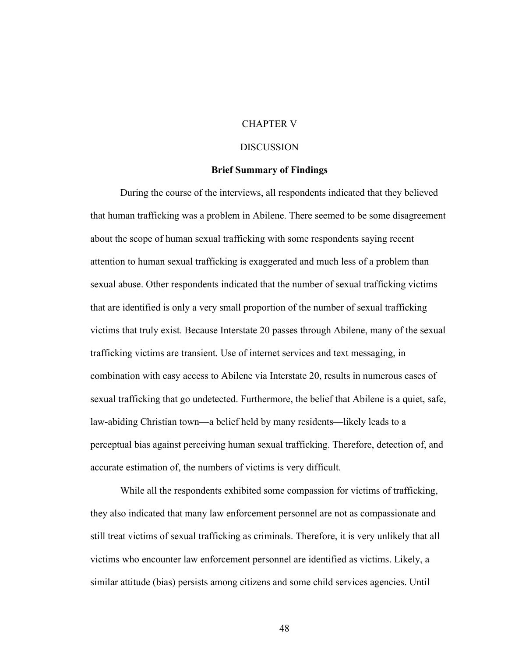# CHAPTER V

## **DISCUSSION**

## **Brief Summary of Findings**

During the course of the interviews, all respondents indicated that they believed that human trafficking was a problem in Abilene. There seemed to be some disagreement about the scope of human sexual trafficking with some respondents saying recent attention to human sexual trafficking is exaggerated and much less of a problem than sexual abuse. Other respondents indicated that the number of sexual trafficking victims that are identified is only a very small proportion of the number of sexual trafficking victims that truly exist. Because Interstate 20 passes through Abilene, many of the sexual trafficking victims are transient. Use of internet services and text messaging, in combination with easy access to Abilene via Interstate 20, results in numerous cases of sexual trafficking that go undetected. Furthermore, the belief that Abilene is a quiet, safe, law-abiding Christian town—a belief held by many residents—likely leads to a perceptual bias against perceiving human sexual trafficking. Therefore, detection of, and accurate estimation of, the numbers of victims is very difficult.

While all the respondents exhibited some compassion for victims of trafficking, they also indicated that many law enforcement personnel are not as compassionate and still treat victims of sexual trafficking as criminals. Therefore, it is very unlikely that all victims who encounter law enforcement personnel are identified as victims. Likely, a similar attitude (bias) persists among citizens and some child services agencies. Until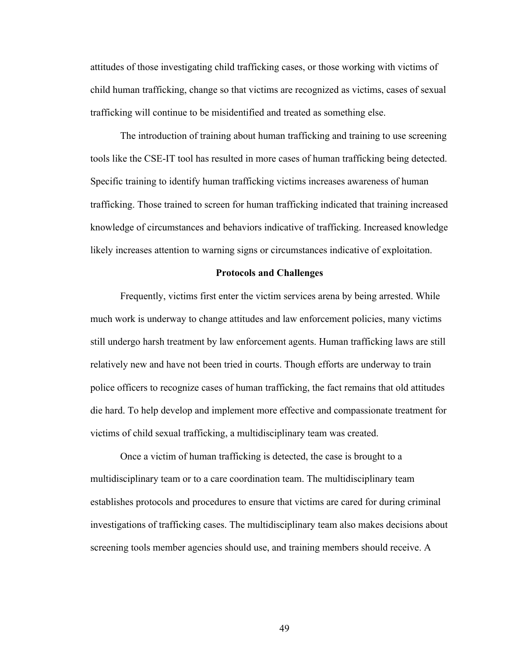attitudes of those investigating child trafficking cases, or those working with victims of child human trafficking, change so that victims are recognized as victims, cases of sexual trafficking will continue to be misidentified and treated as something else.

The introduction of training about human trafficking and training to use screening tools like the CSE-IT tool has resulted in more cases of human trafficking being detected. Specific training to identify human trafficking victims increases awareness of human trafficking. Those trained to screen for human trafficking indicated that training increased knowledge of circumstances and behaviors indicative of trafficking. Increased knowledge likely increases attention to warning signs or circumstances indicative of exploitation.

#### **Protocols and Challenges**

Frequently, victims first enter the victim services arena by being arrested. While much work is underway to change attitudes and law enforcement policies, many victims still undergo harsh treatment by law enforcement agents. Human trafficking laws are still relatively new and have not been tried in courts. Though efforts are underway to train police officers to recognize cases of human trafficking, the fact remains that old attitudes die hard. To help develop and implement more effective and compassionate treatment for victims of child sexual trafficking, a multidisciplinary team was created.

Once a victim of human trafficking is detected, the case is brought to a multidisciplinary team or to a care coordination team. The multidisciplinary team establishes protocols and procedures to ensure that victims are cared for during criminal investigations of trafficking cases. The multidisciplinary team also makes decisions about screening tools member agencies should use, and training members should receive. A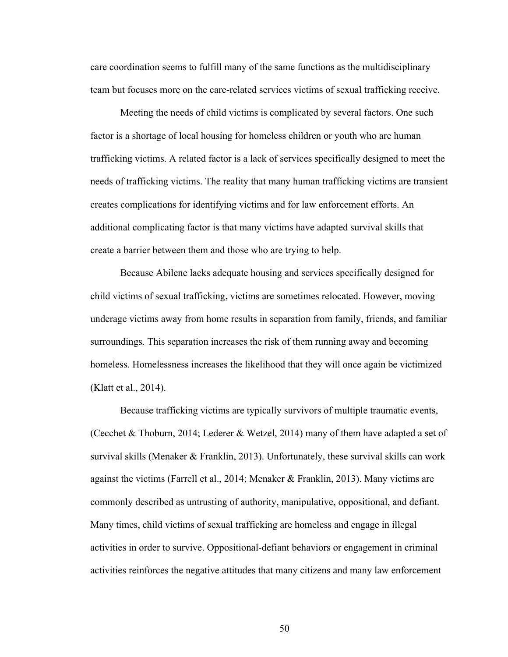care coordination seems to fulfill many of the same functions as the multidisciplinary team but focuses more on the care-related services victims of sexual trafficking receive.

Meeting the needs of child victims is complicated by several factors. One such factor is a shortage of local housing for homeless children or youth who are human trafficking victims. A related factor is a lack of services specifically designed to meet the needs of trafficking victims. The reality that many human trafficking victims are transient creates complications for identifying victims and for law enforcement efforts. An additional complicating factor is that many victims have adapted survival skills that create a barrier between them and those who are trying to help.

Because Abilene lacks adequate housing and services specifically designed for child victims of sexual trafficking, victims are sometimes relocated. However, moving underage victims away from home results in separation from family, friends, and familiar surroundings. This separation increases the risk of them running away and becoming homeless. Homelessness increases the likelihood that they will once again be victimized (Klatt et al., 2014).

Because trafficking victims are typically survivors of multiple traumatic events, (Cecchet & Thoburn, 2014; Lederer & Wetzel, 2014) many of them have adapted a set of survival skills (Menaker & Franklin, 2013). Unfortunately, these survival skills can work against the victims (Farrell et al., 2014; Menaker & Franklin, 2013). Many victims are commonly described as untrusting of authority, manipulative, oppositional, and defiant. Many times, child victims of sexual trafficking are homeless and engage in illegal activities in order to survive. Oppositional-defiant behaviors or engagement in criminal activities reinforces the negative attitudes that many citizens and many law enforcement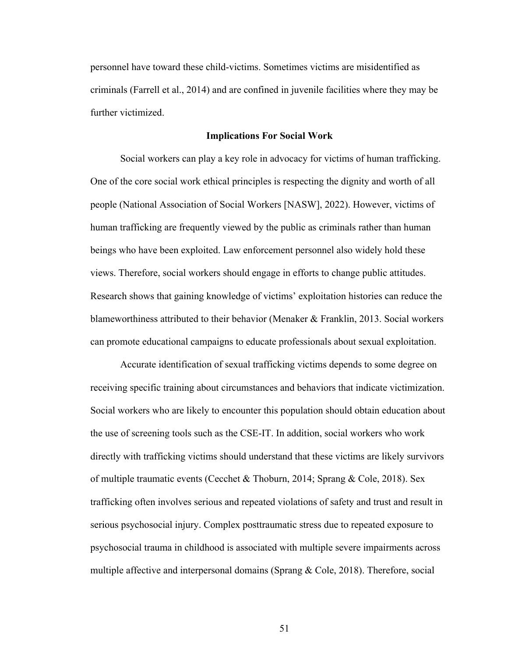personnel have toward these child-victims. Sometimes victims are misidentified as criminals (Farrell et al., 2014) and are confined in juvenile facilities where they may be further victimized.

#### **Implications For Social Work**

Social workers can play a key role in advocacy for victims of human trafficking. One of the core social work ethical principles is respecting the dignity and worth of all people (National Association of Social Workers [NASW], 2022). However, victims of human trafficking are frequently viewed by the public as criminals rather than human beings who have been exploited. Law enforcement personnel also widely hold these views. Therefore, social workers should engage in efforts to change public attitudes. Research shows that gaining knowledge of victims' exploitation histories can reduce the blameworthiness attributed to their behavior (Menaker & Franklin, 2013. Social workers can promote educational campaigns to educate professionals about sexual exploitation.

Accurate identification of sexual trafficking victims depends to some degree on receiving specific training about circumstances and behaviors that indicate victimization. Social workers who are likely to encounter this population should obtain education about the use of screening tools such as the CSE-IT. In addition, social workers who work directly with trafficking victims should understand that these victims are likely survivors of multiple traumatic events (Cecchet & Thoburn, 2014; Sprang & Cole, 2018). Sex trafficking often involves serious and repeated violations of safety and trust and result in serious psychosocial injury. Complex posttraumatic stress due to repeated exposure to psychosocial trauma in childhood is associated with multiple severe impairments across multiple affective and interpersonal domains (Sprang & Cole, 2018). Therefore, social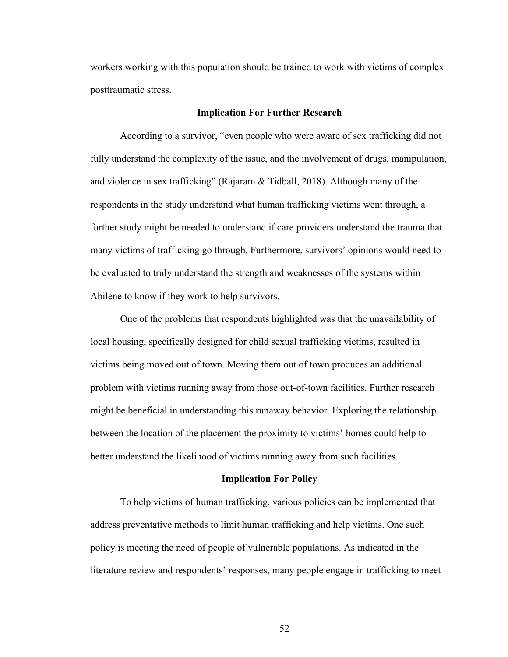workers working with this population should be trained to work with victims of complex posttraumatic stress.

#### **Implication For Further Research**

According to a survivor, "even people who were aware of sex trafficking did not fully understand the complexity of the issue, and the involvement of drugs, manipulation, and violence in sex trafficking" (Rajaram & Tidball, 2018). Although many of the respondents in the study understand what human trafficking victims went through, a further study might be needed to understand if care providers understand the trauma that many victims of trafficking go through. Furthermore, survivors' opinions would need to be evaluated to truly understand the strength and weaknesses of the systems within Abilene to know if they work to help survivors.

One of the problems that respondents highlighted was that the unavailability of local housing, specifically designed for child sexual trafficking victims, resulted in victims being moved out of town. Moving them out of town produces an additional problem with victims running away from those out-of-town facilities. Further research might be beneficial in understanding this runaway behavior. Exploring the relationship between the location of the placement the proximity to victims' homes could help to better understand the likelihood of victims running away from such facilities.

## **Implication For Policy**

To help victims of human trafficking, various policies can be implemented that address preventative methods to limit human trafficking and help victims. One such policy is meeting the need of people of vulnerable populations. As indicated in the literature review and respondents' responses, many people engage in trafficking to meet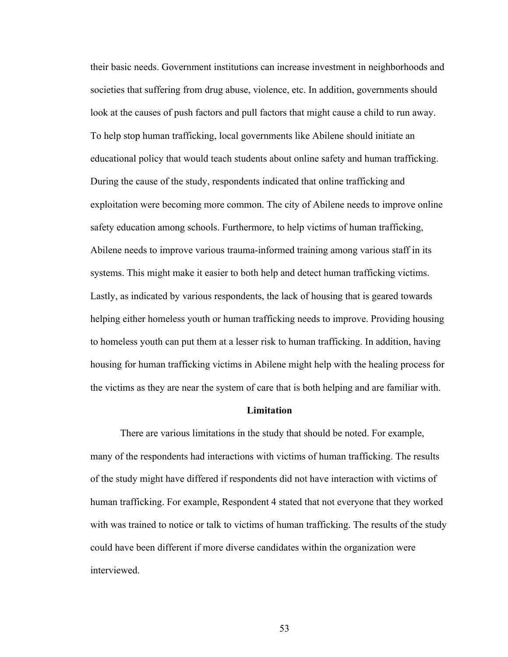their basic needs. Government institutions can increase investment in neighborhoods and societies that suffering from drug abuse, violence, etc. In addition, governments should look at the causes of push factors and pull factors that might cause a child to run away. To help stop human trafficking, local governments like Abilene should initiate an educational policy that would teach students about online safety and human trafficking. During the cause of the study, respondents indicated that online trafficking and exploitation were becoming more common. The city of Abilene needs to improve online safety education among schools. Furthermore, to help victims of human trafficking, Abilene needs to improve various trauma-informed training among various staff in its systems. This might make it easier to both help and detect human trafficking victims. Lastly, as indicated by various respondents, the lack of housing that is geared towards helping either homeless youth or human trafficking needs to improve. Providing housing to homeless youth can put them at a lesser risk to human trafficking. In addition, having housing for human trafficking victims in Abilene might help with the healing process for the victims as they are near the system of care that is both helping and are familiar with.

# **Limitation**

There are various limitations in the study that should be noted. For example, many of the respondents had interactions with victims of human trafficking. The results of the study might have differed if respondents did not have interaction with victims of human trafficking. For example, Respondent 4 stated that not everyone that they worked with was trained to notice or talk to victims of human trafficking. The results of the study could have been different if more diverse candidates within the organization were interviewed.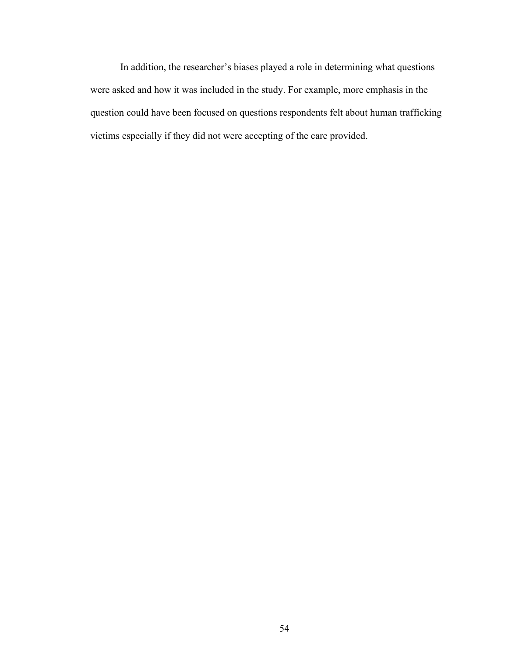In addition, the researcher's biases played a role in determining what questions were asked and how it was included in the study. For example, more emphasis in the question could have been focused on questions respondents felt about human trafficking victims especially if they did not were accepting of the care provided.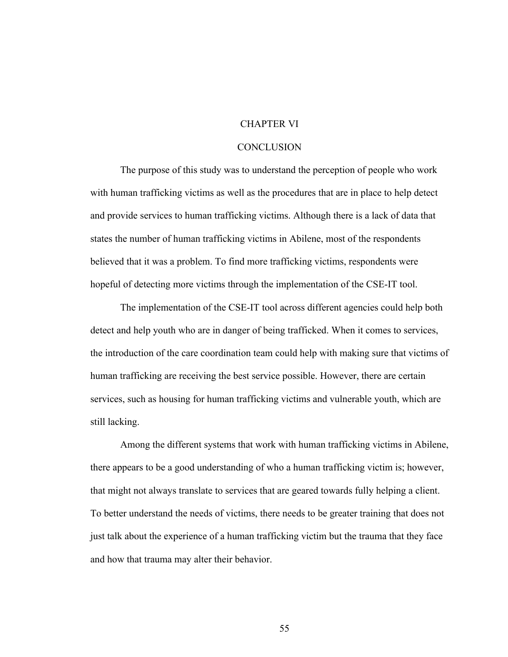# CHAPTER VI

## **CONCLUSION**

The purpose of this study was to understand the perception of people who work with human trafficking victims as well as the procedures that are in place to help detect and provide services to human trafficking victims. Although there is a lack of data that states the number of human trafficking victims in Abilene, most of the respondents believed that it was a problem. To find more trafficking victims, respondents were hopeful of detecting more victims through the implementation of the CSE-IT tool.

The implementation of the CSE-IT tool across different agencies could help both detect and help youth who are in danger of being trafficked. When it comes to services, the introduction of the care coordination team could help with making sure that victims of human trafficking are receiving the best service possible. However, there are certain services, such as housing for human trafficking victims and vulnerable youth, which are still lacking.

Among the different systems that work with human trafficking victims in Abilene, there appears to be a good understanding of who a human trafficking victim is; however, that might not always translate to services that are geared towards fully helping a client. To better understand the needs of victims, there needs to be greater training that does not just talk about the experience of a human trafficking victim but the trauma that they face and how that trauma may alter their behavior.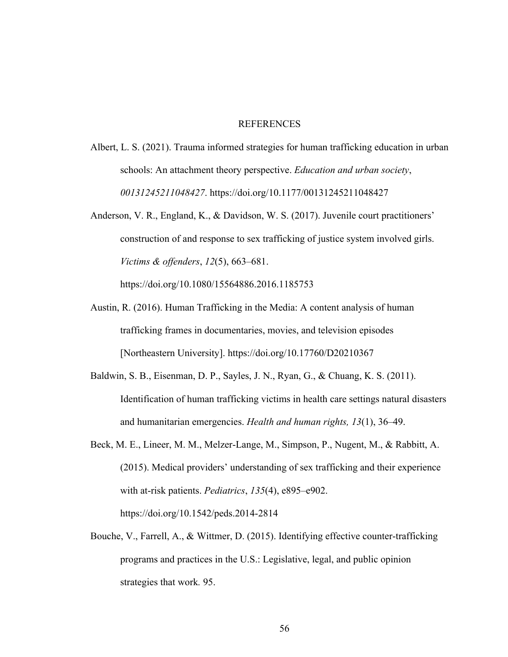## **REFERENCES**

- Albert, L. S. (2021). Trauma informed strategies for human trafficking education in urban schools: An attachment theory perspective. *Education and urban society*, *00131245211048427*. https://doi.org/10.1177/00131245211048427
- Anderson, V. R., England, K., & Davidson, W. S. (2017). Juvenile court practitioners' construction of and response to sex trafficking of justice system involved girls. *Victims & offenders*, *12*(5), 663–681.

https://doi.org/10.1080/15564886.2016.1185753

- Austin, R. (2016). Human Trafficking in the Media: A content analysis of human trafficking frames in documentaries, movies, and television episodes [Northeastern University]. https://doi.org/10.17760/D20210367
- Baldwin, S. B., Eisenman, D. P., Sayles, J. N., Ryan, G., & Chuang, K. S. (2011). Identification of human trafficking victims in health care settings natural disasters and humanitarian emergencies. *Health and human rights, 13*(1), 36–49.
- Beck, M. E., Lineer, M. M., Melzer-Lange, M., Simpson, P., Nugent, M., & Rabbitt, A. (2015). Medical providers' understanding of sex trafficking and their experience with at-risk patients. *Pediatrics*, *135*(4), e895–e902. https://doi.org/10.1542/peds.2014-2814
- Bouche, V., Farrell, A., & Wittmer, D. (2015). Identifying effective counter-trafficking programs and practices in the U.S.: Legislative, legal, and public opinion strategies that work*.* 95.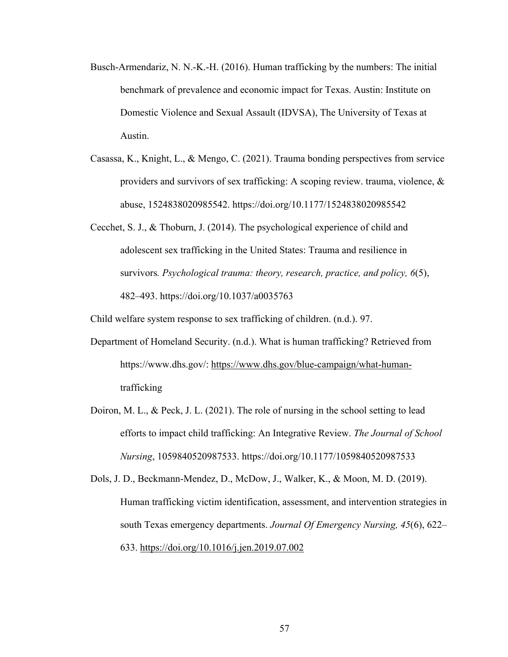- Busch-Armendariz, N. N.-K.-H. (2016). Human trafficking by the numbers: The initial benchmark of prevalence and economic impact for Texas. Austin: Institute on Domestic Violence and Sexual Assault (IDVSA), The University of Texas at Austin.
- Casassa, K., Knight, L., & Mengo, C. (2021). Trauma bonding perspectives from service providers and survivors of sex trafficking: A scoping review. trauma, violence, & abuse, 1524838020985542. https://doi.org/10.1177/1524838020985542
- Cecchet, S. J., & Thoburn, J. (2014). The psychological experience of child and adolescent sex trafficking in the United States: Trauma and resilience in survivors*. Psychological trauma: theory, research, practice, and policy, 6*(5), 482–493. https://doi.org/10.1037/a0035763

Child welfare system response to sex trafficking of children. (n.d.). 97.

- Department of Homeland Security. (n.d.). What is human trafficking? Retrieved from https://www.dhs.gov/: https://www.dhs.gov/blue-campaign/what-humantrafficking
- Doiron, M. L., & Peck, J. L. (2021). The role of nursing in the school setting to lead efforts to impact child trafficking: An Integrative Review. *The Journal of School Nursing*, 1059840520987533. https://doi.org/10.1177/1059840520987533
- Dols, J. D., Beckmann-Mendez, D., McDow, J., Walker, K., & Moon, M. D. (2019). Human trafficking victim identification, assessment, and intervention strategies in south Texas emergency departments. *Journal Of Emergency Nursing, 45*(6), 622– 633. https://doi.org/10.1016/j.jen.2019.07.002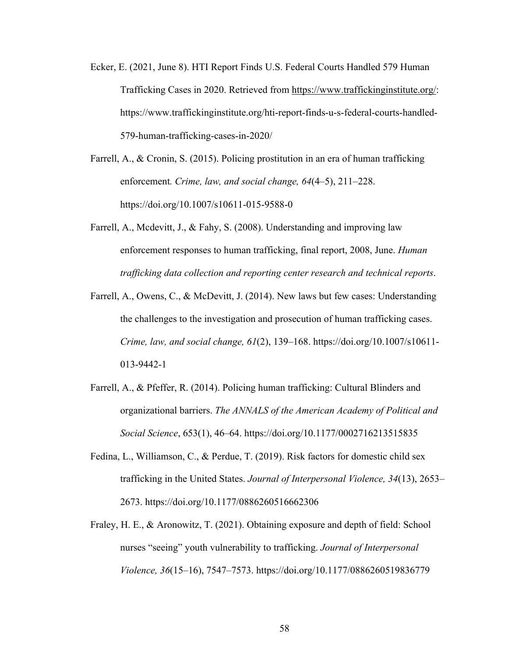- Ecker, E. (2021, June 8). HTI Report Finds U.S. Federal Courts Handled 579 Human Trafficking Cases in 2020. Retrieved from https://www.traffickinginstitute.org/: https://www.traffickinginstitute.org/hti-report-finds-u-s-federal-courts-handled-579-human-trafficking-cases-in-2020/
- Farrell, A., & Cronin, S. (2015). Policing prostitution in an era of human trafficking enforcement*. Crime, law, and social change, 64*(4–5), 211–228. https://doi.org/10.1007/s10611-015-9588-0
- Farrell, A., Mcdevitt, J., & Fahy, S. (2008). Understanding and improving law enforcement responses to human trafficking, final report, 2008, June. *Human trafficking data collection and reporting center research and technical reports*.
- Farrell, A., Owens, C., & McDevitt, J. (2014). New laws but few cases: Understanding the challenges to the investigation and prosecution of human trafficking cases. *Crime, law, and social change, 61*(2), 139–168. https://doi.org/10.1007/s10611- 013-9442-1
- Farrell, A., & Pfeffer, R. (2014). Policing human trafficking: Cultural Blinders and organizational barriers. *The ANNALS of the American Academy of Political and Social Science*, 653(1), 46–64. https://doi.org/10.1177/0002716213515835
- Fedina, L., Williamson, C., & Perdue, T. (2019). Risk factors for domestic child sex trafficking in the United States. *Journal of Interpersonal Violence, 34*(13), 2653– 2673. https://doi.org/10.1177/0886260516662306
- Fraley, H. E., & Aronowitz, T. (2021). Obtaining exposure and depth of field: School nurses "seeing" youth vulnerability to trafficking. *Journal of Interpersonal Violence, 36*(15–16), 7547–7573. https://doi.org/10.1177/0886260519836779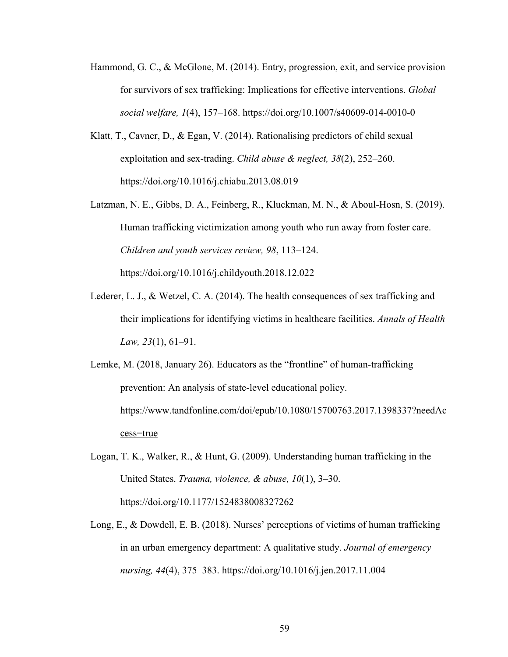- Hammond, G. C., & McGlone, M. (2014). Entry, progression, exit, and service provision for survivors of sex trafficking: Implications for effective interventions. *Global social welfare, 1*(4), 157–168. https://doi.org/10.1007/s40609-014-0010-0
- Klatt, T., Cavner, D., & Egan, V. (2014). Rationalising predictors of child sexual exploitation and sex-trading. *Child abuse & neglect, 38*(2), 252–260. https://doi.org/10.1016/j.chiabu.2013.08.019
- Latzman, N. E., Gibbs, D. A., Feinberg, R., Kluckman, M. N., & Aboul-Hosn, S. (2019). Human trafficking victimization among youth who run away from foster care. *Children and youth services review, 98*, 113–124. https://doi.org/10.1016/j.childyouth.2018.12.022
- Lederer, L. J., & Wetzel, C. A. (2014). The health consequences of sex trafficking and their implications for identifying victims in healthcare facilities. *Annals of Health Law, 23*(1), 61–91.
- Lemke, M. (2018, January 26). Educators as the "frontline" of human-trafficking prevention: An analysis of state-level educational policy. https://www.tandfonline.com/doi/epub/10.1080/15700763.2017.1398337?needAc cess=true
- Logan, T. K., Walker, R., & Hunt, G. (2009). Understanding human trafficking in the United States. *Trauma, violence, & abuse, 10*(1), 3–30. https://doi.org/10.1177/1524838008327262
- Long, E., & Dowdell, E. B. (2018). Nurses' perceptions of victims of human trafficking in an urban emergency department: A qualitative study. *Journal of emergency nursing, 44*(4), 375–383. https://doi.org/10.1016/j.jen.2017.11.004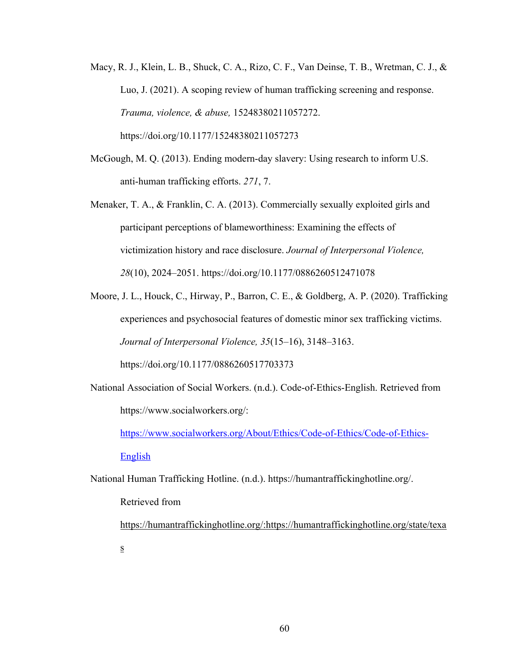- Macy, R. J., Klein, L. B., Shuck, C. A., Rizo, C. F., Van Deinse, T. B., Wretman, C. J., & Luo, J. (2021). A scoping review of human trafficking screening and response. *Trauma, violence, & abuse,* 15248380211057272. https://doi.org/10.1177/15248380211057273
- McGough, M. Q. (2013). Ending modern-day slavery: Using research to inform U.S. anti-human trafficking efforts. *271*, 7.
- Menaker, T. A., & Franklin, C. A. (2013). Commercially sexually exploited girls and participant perceptions of blameworthiness: Examining the effects of victimization history and race disclosure. *Journal of Interpersonal Violence, 28*(10), 2024–2051. https://doi.org/10.1177/0886260512471078
- Moore, J. L., Houck, C., Hirway, P., Barron, C. E., & Goldberg, A. P. (2020). Trafficking experiences and psychosocial features of domestic minor sex trafficking victims. *Journal of Interpersonal Violence, 35*(15–16), 3148–3163. https://doi.org/10.1177/0886260517703373
- National Association of Social Workers. (n.d.). Code-of-Ethics-English. Retrieved from https://www.socialworkers.org/:

https://www.socialworkers.org/About/Ethics/Code-of-Ethics/Code-of-Ethics-

## English

National Human Trafficking Hotline. (n.d.). https://humantraffickinghotline.org/.

# Retrieved from

https://humantraffickinghotline.org/:https://humantraffickinghotline.org/state/texa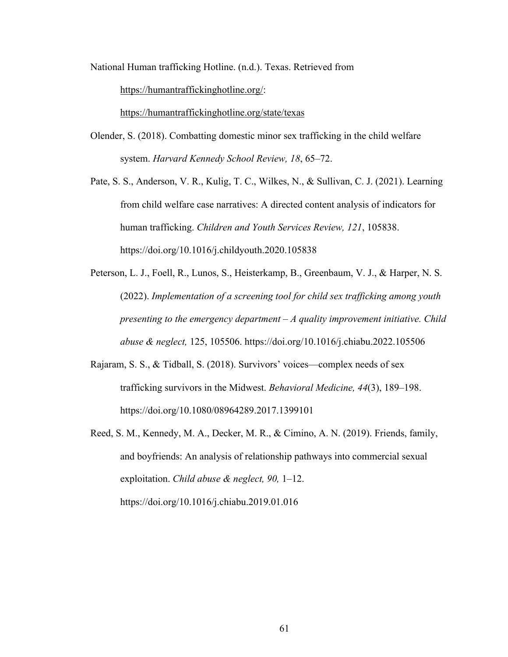National Human trafficking Hotline. (n.d.). Texas. Retrieved from

https://humantraffickinghotline.org/:

https://humantraffickinghotline.org/state/texas

Olender, S. (2018). Combatting domestic minor sex trafficking in the child welfare system. *Harvard Kennedy School Review, 18*, 65–72.

Pate, S. S., Anderson, V. R., Kulig, T. C., Wilkes, N., & Sullivan, C. J. (2021). Learning from child welfare case narratives: A directed content analysis of indicators for human trafficking. *Children and Youth Services Review, 121*, 105838. https://doi.org/10.1016/j.childyouth.2020.105838

- Peterson, L. J., Foell, R., Lunos, S., Heisterkamp, B., Greenbaum, V. J., & Harper, N. S. (2022). *Implementation of a screening tool for child sex trafficking among youth presenting to the emergency department – A quality improvement initiative. Child abuse & neglect,* 125, 105506. https://doi.org/10.1016/j.chiabu.2022.105506
- Rajaram, S. S., & Tidball, S. (2018). Survivors' voices—complex needs of sex trafficking survivors in the Midwest. *Behavioral Medicine, 44*(3), 189–198. https://doi.org/10.1080/08964289.2017.1399101
- Reed, S. M., Kennedy, M. A., Decker, M. R., & Cimino, A. N. (2019). Friends, family, and boyfriends: An analysis of relationship pathways into commercial sexual exploitation. *Child abuse & neglect, 90,* 1–12. https://doi.org/10.1016/j.chiabu.2019.01.016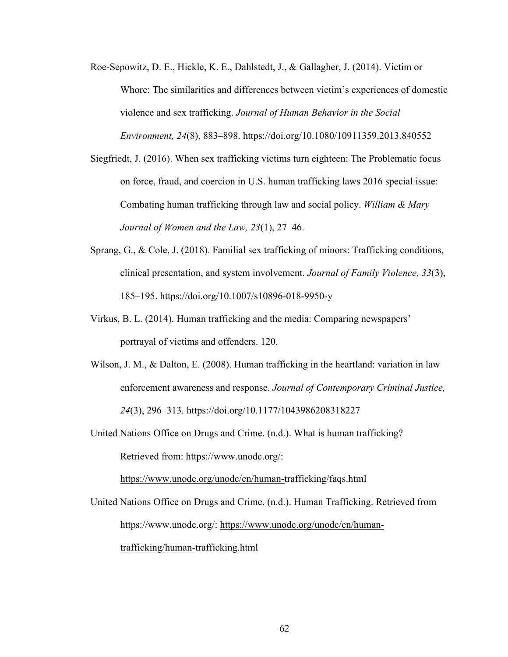- Roe-Sepowitz, D. E., Hickle, K. E., Dahlstedt, J., & Gallagher, J. (2014). Victim or Whore: The similarities and differences between victim's experiences of domestic violence and sex trafficking. *Journal of Human Behavior in the Social Environment, 24*(8), 883–898. https://doi.org/10.1080/10911359.2013.840552
- Siegfriedt, J. (2016). When sex trafficking victims turn eighteen: The Problematic focus on force, fraud, and coercion in U.S. human trafficking laws 2016 special issue: Combating human trafficking through law and social policy. *William & Mary Journal of Women and the Law, 23*(1), 27–46.
- Sprang, G., & Cole, J. (2018). Familial sex trafficking of minors: Trafficking conditions, clinical presentation, and system involvement. *Journal of Family Violence, 33*(3), 185–195. https://doi.org/10.1007/s10896-018-9950-y
- Virkus, B. L. (2014). Human trafficking and the media: Comparing newspapers' portrayal of victims and offenders. 120.
- Wilson, J. M., & Dalton, E. (2008). Human trafficking in the heartland: variation in law enforcement awareness and response. *Journal of Contemporary Criminal Justice, 24*(3), 296–313. https://doi.org/10.1177/1043986208318227

United Nations Office on Drugs and Crime. (n.d.). What is human trafficking? Retrieved from: https://www.unodc.org/: https://www.unodc.org/unodc/en/human-trafficking/faqs.html

United Nations Office on Drugs and Crime. (n.d.). Human Trafficking. Retrieved from https://www.unodc.org/: https://www.unodc.org/unodc/en/humantrafficking/human-trafficking.html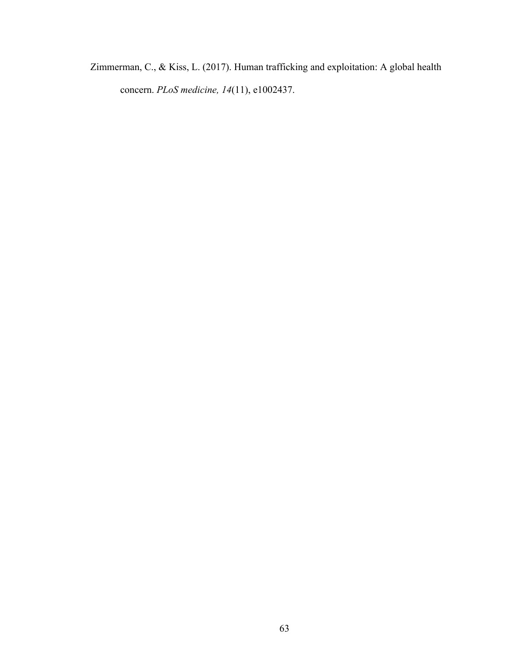Zimmerman, C., & Kiss, L. (2017). Human trafficking and exploitation: A global health concern. *PLoS medicine, 14*(11), e1002437.